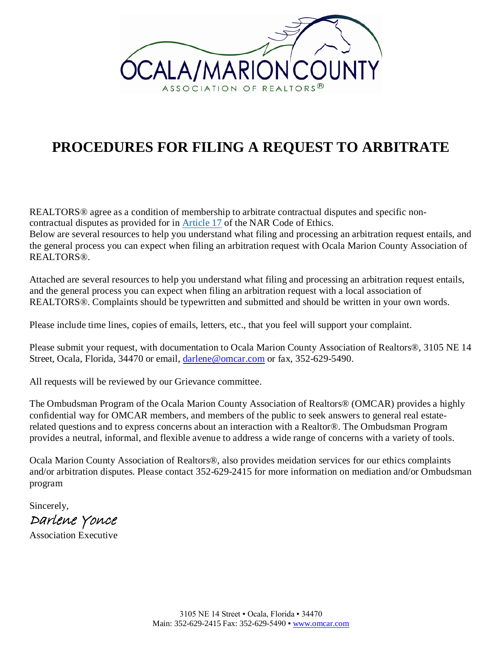

# **PROCEDURES FOR FILING A REQUEST TO ARBITRATE**

REALTORS<sup>®</sup> agree as a condition of membership to arbitrate contractual disputes and specific noncontractual disputes as provided for in [Article](http://www.realtor.org/videos/code-of-ethics/article-17) 17 of the NAR Code of Ethics.

Below are several resources to help you understand what filing and processing an arbitration request entails, and the general process you can expect when filing an arbitration request with Ocala Marion County Association of REALTORS®.

Attached are several resources to help you understand what filing and processing an arbitration request entails, and the general process you can expect when filing an arbitration request with a local association of REALTORS®. Complaints should be typewritten and submitted and should be written in your own words.

Please include time lines, copies of emails, letters, etc., that you feel will support your complaint.

Please submit your request, with documentation to Ocala Marion County Association of Realtors®, 3105 NE 14 Street, Ocala, Florida, 34470 or email, [darlene@omcar.com](mailto:darlene@omcar.com) or fax, 352-629-5490.

All requests will be reviewed by our Grievance committee.

The Ombudsman Program of the Ocala Marion County Association of Realtors® (OMCAR) provides a highly confidential way for OMCAR members, and members of the public to seek answers to general real estaterelated questions and to express concerns about an interaction with a Realtor®. The Ombudsman Program provides a neutral, informal, and flexible avenue to address a wide range of concerns with a variety of tools.

Ocala Marion County Association of Realtors®, also provides meidation services for our ethics complaints and/or arbitration disputes. Please contact 352-629-2415 for more information on mediation and/or Ombudsman program

Sincerely, Darlene Yonce

Association Executive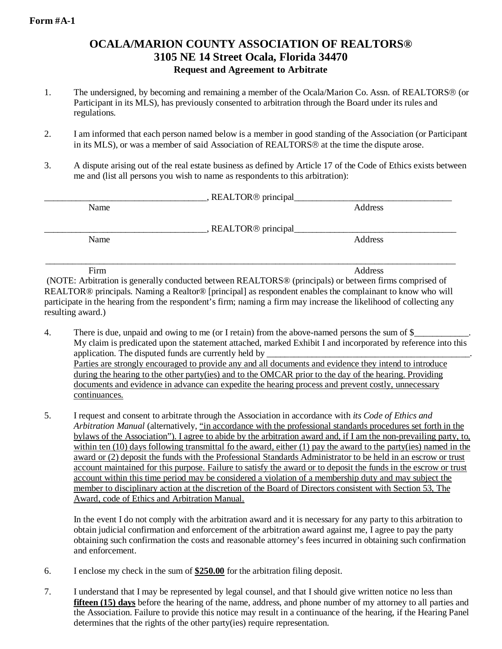# **OCALA/MARION COUNTY ASSOCIATION OF REALTORS® 3105 NE 14 Street Ocala, Florida 34470 Request and Agreement to Arbitrate**

- 1. The undersigned, by becoming and remaining a member of the Ocala/Marion Co. Assn. of REALTORS (or Participant in its MLS), has previously consented to arbitration through the Board under its rules and regulations.
- 2. I am informed that each person named below is a member in good standing of the Association (or Participant in its MLS), or was a member of said Association of REALTORS<sup>®</sup> at the time the dispute arose.
- 3. A dispute arising out of the real estate business as defined by Article 17 of the Code of Ethics exists between me and (list all persons you wish to name as respondents to this arbitration):

| Name |                                   | Address |
|------|-----------------------------------|---------|
|      | , REALTOR <sup>®</sup> principal_ |         |
| Name |                                   | Address |
| Firm |                                   | Address |

(NOTE: Arbitration is generally conducted between REALTORS® (principals) or between firms comprised of REALTOR® principals. Naming a Realtor® [principal] as respondent enables the complainant to know who will participate in the hearing from the respondent's firm; naming a firm may increase the likelihood of collecting any resulting award.)

- 4. There is due, unpaid and owing to me (or I retain) from the above-named persons the sum of  $\frac{1}{2}$ My claim is predicated upon the statement attached, marked Exhibit I and incorporated by reference into this application. The disputed funds are currently held by Parties are strongly encouraged to provide any and all documents and evidence they intend to introduce during the hearing to the other party(ies) and to the OMCAR prior to the day of the hearing. Providing documents and evidence in advance can expedite the hearing process and prevent costly, unnecessary continuances.
- 5. I request and consent to arbitrate through the Association in accordance with *its Code of Ethics and Arbitration Manual* (alternatively, "in accordance with the professional standards procedures set forth in the bylaws of the Association"). I agree to abide by the arbitration award and, if I am the non-prevailing party, to, within ten (10) days following transmittal fo the award, either (1) pay the award to the party(ies) named in the award or (2) deposit the funds with the Professional Standards Administrator to be held in an escrow or trust account maintained for this purpose. Failure to satisfy the award or to deposit the funds in the escrow or trust account within this time period may be considered a violation of a membership duty and may subject the member to disciplinary action at the discretion of the Board of Directors consistent with Section 53, The Award, code of Ethics and Arbitration Manual.

In the event I do not comply with the arbitration award and it is necessary for any party to this arbitration to obtain judicial confirmation and enforcement of the arbitration award against me, I agree to pay the party obtaining such confirmation the costs and reasonable attorney's fees incurred in obtaining such confirmation and enforcement.

- 6. I enclose my check in the sum of **\$250.00** for the arbitration filing deposit.
- 7. I understand that I may be represented by legal counsel, and that I should give written notice no less than **fifteen (15) days** before the hearing of the name, address, and phone number of my attorney to all parties and the Association. Failure to provide this notice may result in a continuance of the hearing, if the Hearing Panel determines that the rights of the other party(ies) require representation.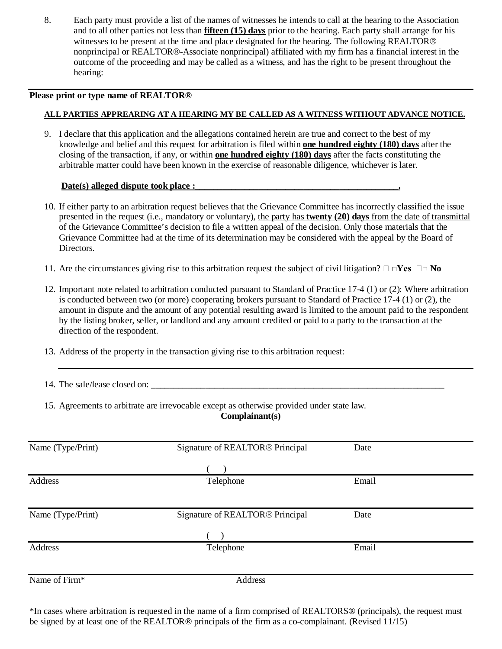8. Each party must provide a list of the names of witnesses he intends to call at the hearing to the Association and to all other parties not less than **fifteen (15) days** prior to the hearing. Each party shall arrange for his witnesses to be present at the time and place designated for the hearing. The following REALTOR<sup>®</sup> nonprincipal or REALTOR®-Associate nonprincipal) affiliated with my firm has a financial interest in the outcome of the proceeding and may be called as a witness, and has the right to be present throughout the hearing:

# **Please print or type name of REALTOR®**

# **ALL PARTIES APPREARING AT A HEARING MY BE CALLED AS A WITNESS WITHOUT ADVANCE NOTICE.**

9. I declare that this application and the allegations contained herein are true and correct to the best of my knowledge and belief and this request for arbitration is filed within **one hundred eighty (180) days** after the closing of the transaction, if any, or within **one hundred eighty (180) days** after the facts constituting the arbitrable matter could have been known in the exercise of reasonable diligence, whichever is later.

# Date(s) alleged dispute took place :

- 10. If either party to an arbitration request believes that the Grievance Committee has incorrectly classified the issue presented in the request (i.e., mandatory or voluntary), the party has **twenty (20) days** from the date of transmittal of the Grievance Committee's decision to file a written appeal of the decision. Only those materials that the Grievance Committee had at the time of its determination may be considered with the appeal by the Board of Directors.
- 11. Are the circumstances giving rise to this arbitration request the subject of civil litigation?  $\Box \Box Y$ es  $\Box \Box$  **No**
- 12. Important note related to arbitration conducted pursuant to Standard of Practice 17-4 (1) or (2): Where arbitration is conducted between two (or more) cooperating brokers pursuant to Standard of Practice 17-4 (1) or (2), the amount in dispute and the amount of any potential resulting award is limited to the amount paid to the respondent by the listing broker, seller, or landlord and any amount credited or paid to a party to the transaction at the direction of the respondent.
- 13. Address of the property in the transaction giving rise to this arbitration request:
- 14. The sale/lease closed on: \_\_\_\_\_\_\_\_\_\_\_\_\_\_\_\_\_\_\_\_\_\_\_\_\_\_\_\_\_\_\_\_\_\_\_\_\_\_\_\_\_\_\_\_\_\_\_\_\_\_\_\_\_\_\_\_\_\_\_\_\_\_\_\_\_
- 15. Agreements to arbitrate are irrevocable except as otherwise provided under state law.

# **Complainant(s)**

| Name (Type/Print) | Signature of REALTOR® Principal             | Date  |  |
|-------------------|---------------------------------------------|-------|--|
|                   |                                             |       |  |
|                   |                                             |       |  |
| Address           | Telephone                                   | Email |  |
|                   |                                             |       |  |
| Name (Type/Print) | Signature of REALTOR <sup>®</sup> Principal | Date  |  |
|                   |                                             |       |  |
| Address           | Telephone                                   | Email |  |
|                   |                                             |       |  |
| Name of Firm*     | Address                                     |       |  |

\*In cases where arbitration is requested in the name of a firm comprised of REALTORS® (principals), the request must be signed by at least one of the REALTOR<sup>®</sup> principals of the firm as a co-complainant. (Revised 11/15)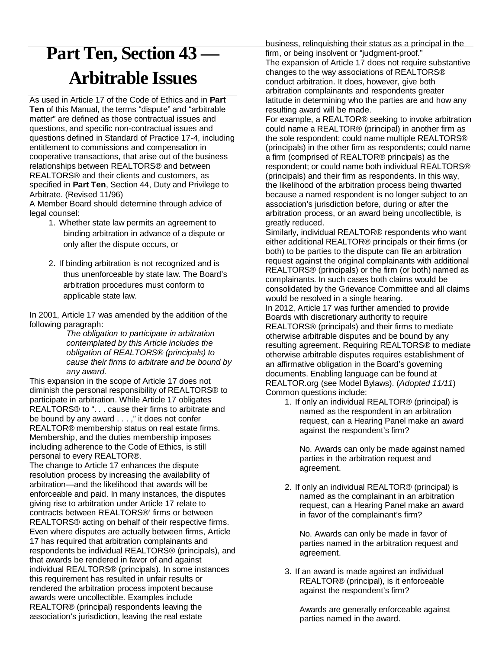# **Part Ten, Section 43 — Arbitrable Issues**

As used in Article 17 of the Code of Ethics and in **Part Ten** of this Manual, the terms "dispute" and "arbitrable matter" are defined as those contractual issues and questions, and specific non-contractual issues and questions defined in Standard of Practice 17-4, including entitlement to commissions and compensation in cooperative transactions, that arise out of the business relationships between REALTORS® and between REALTORS® and their clients and customers, as specified in **Part Ten**, Section 44, Duty and Privilege to Arbitrate. (Revised 11/96)

A Member Board should determine through advice of legal counsel:

- 1. Whether state law permits an agreement to binding arbitration in advance of a dispute or only after the dispute occurs, or
- 2. If binding arbitration is not recognized and is thus unenforceable by state law. The Board's arbitration procedures must conform to applicable state law.

In 2001, Article 17 was amended by the addition of the following paragraph:

*The obligation to participate in arbitration contemplated by this Article includes the obligation of REALTORS® (principals) to cause their firms to arbitrate and be bound by any award.*

This expansion in the scope of Article 17 does not diminish the personal responsibility of REALTORS® to participate in arbitration. While Article 17 obligates REALTORS® to ". . . cause their firms to arbitrate and be bound by any award . . . ," it does not confer REALTOR® membership status on real estate firms. Membership, and the duties membership imposes including adherence to the Code of Ethics, is still personal to every REALTOR®.

The change to Article 17 enhances the dispute resolution process by increasing the availability of arbitration—and the likelihood that awards will be enforceable and paid. In many instances, the disputes giving rise to arbitration under Article 17 relate to contracts between REALTORS®' firms or between REALTORS® acting on behalf of their respective firms. Even where disputes are actually between firms, Article 17 has required that arbitration complainants and respondents be individual REALTORS® (principals), and that awards be rendered in favor of and against individual REALTORS® (principals). In some instances this requirement has resulted in unfair results or rendered the arbitration process impotent because awards were uncollectible. Examples include REALTOR® (principal) respondents leaving the association's jurisdiction, leaving the real estate

business, relinquishing their status as a principal in the firm, or being insolvent or "judgment-proof." The expansion of Article 17 does not require substantive changes to the way associations of REALTORS® conduct arbitration. It does, however, give both arbitration complainants and respondents greater latitude in determining who the parties are and how any resulting award will be made.

For example, a REALTOR® seeking to invoke arbitration could name a REALTOR® (principal) in another firm as the sole respondent; could name multiple REALTORS® (principals) in the other firm as respondents; could name a firm (comprised of REALTOR® principals) as the respondent; or could name both individual REALTORS® (principals) and their firm as respondents. In this way, the likelihood of the arbitration process being thwarted because a named respondent is no longer subject to an association's jurisdiction before, during or after the arbitration process, or an award being uncollectible, is greatly reduced.

Similarly, individual REALTOR® respondents who want either additional REALTOR® principals or their firms (or both) to be parties to the dispute can file an arbitration request against the original complainants with additional REALTORS® (principals) or the firm (or both) named as complainants. In such cases both claims would be consolidated by the Grievance Committee and all claims would be resolved in a single hearing.

In 2012, Article 17 was further amended to provide Boards with discretionary authority to require REALTORS® (principals) and their firms to mediate otherwise arbitrable disputes and be bound by any resulting agreement. Requiring REALTORS® to mediate otherwise arbitrable disputes requires establishment of an affirmative obligation in the Board's governing documents. Enabling language can be found at REALTOR.org (see Model Bylaws). (*Adopted 11/11*) Common questions include:

1. If only an individual REALTOR® (principal) is named as the respondent in an arbitration request, can a Hearing Panel make an award against the respondent's firm?

No. Awards can only be made against named parties in the arbitration request and agreement.

2. If only an individual REALTOR® (principal) is named as the complainant in an arbitration request, can a Hearing Panel make an award in favor of the complainant's firm?

No. Awards can only be made in favor of parties named in the arbitration request and agreement.

3. If an award is made against an individual REALTOR® (principal), is it enforceable against the respondent's firm?

Awards are generally enforceable against parties named in the award.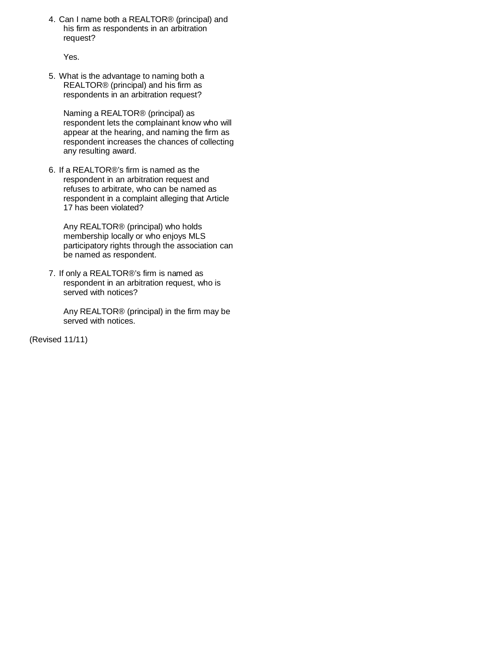4. Can I name both a REALTOR® (principal) and his firm as respondents in an arbitration request?

Yes.

5. What is the advantage to naming both a REALTOR® (principal) and his firm as respondents in an arbitration request?

Naming a REALTOR® (principal) as respondent lets the complainant know who will appear at the hearing, and naming the firm as respondent increases the chances of collecting any resulting award.

6. If a REALTOR®'s firm is named as the respondent in an arbitration request and refuses to arbitrate, who can be named as respondent in a complaint alleging that Article 17 has been violated?

Any REALTOR® (principal) who holds membership locally or who enjoys MLS participatory rights through the association can be named as respondent.

7. If only a REALTOR®'s firm is named as respondent in an arbitration request, who is served with notices?

Any REALTOR® (principal) in the firm may be served with notices.

(Revised 11/11)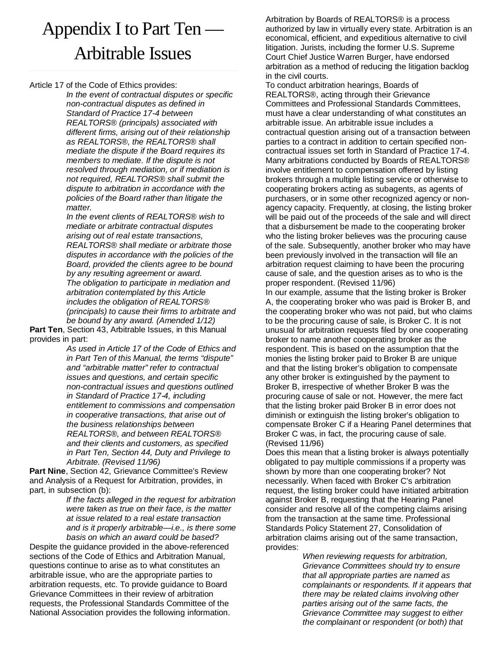# Appendix I to Part Ten — Arbitrable Issues

Article 17 of the Code of Ethics provides:

*In the event of contractual disputes or specific non-contractual disputes as defined in Standard of Practice 17-4 between REALTORS® (principals) associated with different firms, arising out of their relationship as REALTORS®, the REALTORS® shall mediate the dispute if the Board requires its members to mediate. If the dispute is not resolved through mediation, or if mediation is not required, REALTORS® shall submit the dispute to arbitration in accordance with the policies of the Board rather than litigate the matter.*

*In the event clients of REALTORS® wish to mediate or arbitrate contractual disputes arising out of real estate transactions, REALTORS® shall mediate or arbitrate those disputes in accordance with the policies of the Board, provided the clients agree to be bound by any resulting agreement or award. The obligation to participate in mediation and arbitration contemplated by this Article includes the obligation of REALTORS® (principals) to cause their firms to arbitrate and be bound by any award. (Amended 1/12)*

**Part Ten**, Section 43, Arbitrable Issues, in this Manual provides in part:

> *As used in Article 17 of the Code of Ethics and in Part Ten of this Manual, the terms "dispute" and "arbitrable matter" refer to contractual issues and questions, and certain specific non-contractual issues and questions outlined in Standard of Practice 17-4, including entitlement to commissions and compensation in cooperative transactions, that arise out of the business relationships between REALTORS®, and between REALTORS® and their clients and customers, as specified in Part Ten, Section 44, Duty and Privilege to Arbitrate. (Revised 11/96)*

**Part Nine**, Section 42, Grievance Committee's Review and Analysis of a Request for Arbitration, provides, in part, in subsection (b):

> *If the facts alleged in the request for arbitration were taken as true on their face, is the matter at issue related to a real estate transaction and is it properly arbitrable—i.e., is there some basis on which an award could be based?*

Despite the guidance provided in the above-referenced sections of the Code of Ethics and Arbitration Manual, questions continue to arise as to what constitutes an arbitrable issue, who are the appropriate parties to arbitration requests, etc. To provide guidance to Board Grievance Committees in their review of arbitration requests, the Professional Standards Committee of the National Association provides the following information. Arbitration by Boards of REALTORS® is a process authorized by law in virtually every state. Arbitration is an economical, efficient, and expeditious alternative to civil litigation. Jurists, including the former U.S. Supreme Court Chief Justice Warren Burger, have endorsed arbitration as a method of reducing the litigation backlog in the civil courts.

To conduct arbitration hearings, Boards of REALTORS®, acting through their Grievance Committees and Professional Standards Committees, must have a clear understanding of what constitutes an arbitrable issue. An arbitrable issue includes a contractual question arising out of a transaction between parties to a contract in addition to certain specified noncontractual issues set forth in Standard of Practice 17-4. Many arbitrations conducted by Boards of REALTORS® involve entitlement to compensation offered by listing brokers through a multiple listing service or otherwise to cooperating brokers acting as subagents, as agents of purchasers, or in some other recognized agency or nonagency capacity. Frequently, at closing, the listing broker will be paid out of the proceeds of the sale and will direct that a disbursement be made to the cooperating broker who the listing broker believes was the procuring cause of the sale. Subsequently, another broker who may have been previously involved in the transaction will file an arbitration request claiming to have been the procuring cause of sale, and the question arises as to who is the proper respondent. (Revised 11/96)

In our example, assume that the listing broker is Broker A, the cooperating broker who was paid is Broker B, and the cooperating broker who was not paid, but who claims to be the procuring cause of sale, is Broker C. It is not unusual for arbitration requests filed by one cooperating broker to name another cooperating broker as the respondent. This is based on the assumption that the monies the listing broker paid to Broker B are unique and that the listing broker's obligation to compensate any other broker is extinguished by the payment to Broker B, irrespective of whether Broker B was the procuring cause of sale or not. However, the mere fact that the listing broker paid Broker B in error does not diminish or extinguish the listing broker's obligation to compensate Broker C if a Hearing Panel determines that Broker C was, in fact, the procuring cause of sale. (Revised 11/96)

Does this mean that a listing broker is always potentially obligated to pay multiple commissions if a property was shown by more than one cooperating broker? Not necessarily. When faced with Broker C's arbitration request, the listing broker could have initiated arbitration against Broker B, requesting that the Hearing Panel consider and resolve all of the competing claims arising from the transaction at the same time. Professional Standards Policy Statement 27, Consolidation of arbitration claims arising out of the same transaction, provides:

> *When reviewing requests for arbitration, Grievance Committees should try to ensure that all appropriate parties are named as complainants or respondents. If it appears that there may be related claims involving other parties arising out of the same facts, the Grievance Committee may suggest to either the complainant or respondent (or both) that*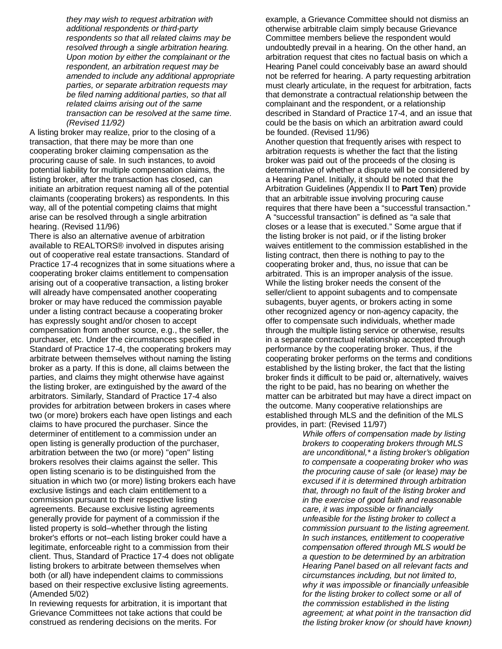*they may wish to request arbitration with additional respondents or third-party respondents so that all related claims may be resolved through a single arbitration hearing. Upon motion by either the complainant or the respondent, an arbitration request may be amended to include any additional appropriate parties, or separate arbitration requests may be filed naming additional parties, so that all related claims arising out of the same transaction can be resolved at the same time. (Revised 11/92)*

A listing broker may realize, prior to the closing of a transaction, that there may be more than one cooperating broker claiming compensation as the procuring cause of sale. In such instances, to avoid potential liability for multiple compensation claims, the listing broker, after the transaction has closed, can initiate an arbitration request naming all of the potential claimants (cooperating brokers) as respondents. In this way, all of the potential competing claims that might arise can be resolved through a single arbitration hearing. (Revised 11/96)

There is also an alternative avenue of arbitration available to REALTORS® involved in disputes arising out of cooperative real estate transactions. Standard of Practice 17-4 recognizes that in some situations where a cooperating broker claims entitlement to compensation arising out of a cooperative transaction, a listing broker will already have compensated another cooperating broker or may have reduced the commission payable under a listing contract because a cooperating broker has expressly sought and/or chosen to accept compensation from another source, e.g., the seller, the purchaser, etc. Under the circumstances specified in Standard of Practice 17-4, the cooperating brokers may arbitrate between themselves without naming the listing broker as a party. If this is done, all claims between the parties, and claims they might otherwise have against the listing broker, are extinguished by the award of the arbitrators. Similarly, Standard of Practice 17-4 also provides for arbitration between brokers in cases where two (or more) brokers each have open listings and each claims to have procured the purchaser. Since the determiner of entitlement to a commission under an open listing is generally production of the purchaser, arbitration between the two (or more) "open" listing brokers resolves their claims against the seller. This open listing scenario is to be distinguished from the situation in which two (or more) listing brokers each have exclusive listings and each claim entitlement to a commission pursuant to their respective listing agreements. Because exclusive listing agreements generally provide for payment of a commission if the listed property is sold–whether through the listing broker's efforts or not–each listing broker could have a legitimate, enforceable right to a commission from their client. Thus, Standard of Practice 17-4 does not obligate listing brokers to arbitrate between themselves when both (or all) have independent claims to commissions based on their respective exclusive listing agreements. (Amended 5/02)

In reviewing requests for arbitration, it is important that Grievance Committees not take actions that could be construed as rendering decisions on the merits. For

example, a Grievance Committee should not dismiss an otherwise arbitrable claim simply because Grievance Committee members believe the respondent would undoubtedly prevail in a hearing. On the other hand, an arbitration request that cites no factual basis on which a Hearing Panel could conceivably base an award should not be referred for hearing. A party requesting arbitration must clearly articulate, in the request for arbitration, facts that demonstrate a contractual relationship between the complainant and the respondent, or a relationship described in Standard of Practice 17-4, and an issue that could be the basis on which an arbitration award could be founded. (Revised 11/96) Another question that frequently arises with respect to arbitration requests is whether the fact that the listing broker was paid out of the proceeds of the closing is determinative of whether a dispute will be considered by a Hearing Panel. Initially, it should be noted that the Arbitration Guidelines (Appendix II to **Part Ten**) provide that an arbitrable issue involving procuring cause requires that there have been a "successful transaction." A "successful transaction" is defined as "a sale that closes or a lease that is executed." Some argue that if the listing broker is not paid, or if the listing broker waives entitlement to the commission established in the listing contract, then there is nothing to pay to the cooperating broker and, thus, no issue that can be arbitrated. This is an improper analysis of the issue. While the listing broker needs the consent of the seller/client to appoint subagents and to compensate subagents, buyer agents, or brokers acting in some other recognized agency or non-agency capacity, the offer to compensate such individuals, whether made through the multiple listing service or otherwise, results in a separate contractual relationship accepted through performance by the cooperating broker. Thus, if the cooperating broker performs on the terms and conditions established by the listing broker, the fact that the listing broker finds it difficult to be paid or, alternatively, waives the right to be paid, has no bearing on whether the matter can be arbitrated but may have a direct impact on the outcome. Many cooperative relationships are established through MLS and the definition of the MLS provides, in part: (Revised 11/97)

*While offers of compensation made by listing brokers to cooperating brokers through MLS are unconditional,\* a listing broker's obligation to compensate a cooperating broker who was the procuring cause of sale (or lease) may be excused if it is determined through arbitration that, through no fault of the listing broker and in the exercise of good faith and reasonable care, it was impossible or financially unfeasible for the listing broker to collect a commission pursuant to the listing agreement. In such instances, entitlement to cooperative compensation offered through MLS would be a question to be determined by an arbitration Hearing Panel based on all relevant facts and circumstances including, but not limited to, why it was impossible or financially unfeasible for the listing broker to collect some or all of the commission established in the listing agreement; at what point in the transaction did the listing broker know (or should have known)*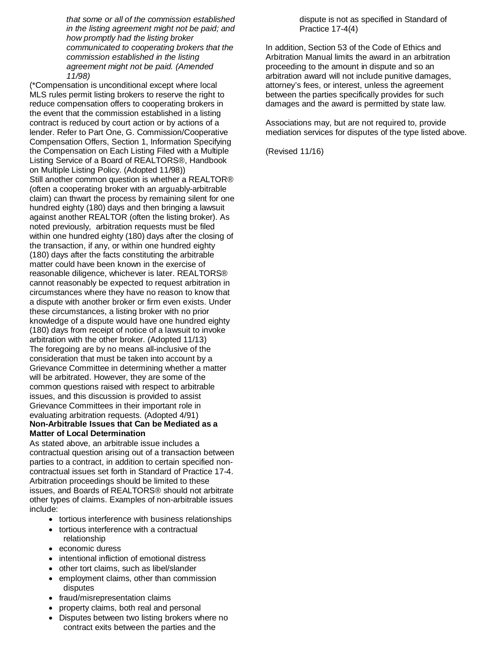*that some or all of the commission established in the listing agreement might not be paid; and how promptly had the listing broker communicated to cooperating brokers that the commission established in the listing agreement might not be paid. (Amended 11/98)*

(\*Compensation is unconditional except where local MLS rules permit listing brokers to reserve the right to reduce compensation offers to cooperating brokers in the event that the commission established in a listing contract is reduced by court action or by actions of a lender. Refer to Part One, G. Commission/Cooperative Compensation Offers, Section 1, Information Specifying the Compensation on Each Listing Filed with a Multiple Listing Service of a Board of REALTORS®, Handbook on Multiple Listing Policy. (Adopted 11/98)) Still another common question is whether a REALTOR® (often a cooperating broker with an arguably-arbitrable claim) can thwart the process by remaining silent for one hundred eighty (180) days and then bringing a lawsuit against another REALTOR (often the listing broker). As noted previously, arbitration requests must be filed within one hundred eighty (180) days after the closing of the transaction, if any, or within one hundred eighty (180) days after the facts constituting the arbitrable matter could have been known in the exercise of reasonable diligence, whichever is later. REALTORS® cannot reasonably be expected to request arbitration in circumstances where they have no reason to know that a dispute with another broker or firm even exists. Under these circumstances, a listing broker with no prior knowledge of a dispute would have one hundred eighty (180) days from receipt of notice of a lawsuit to invoke arbitration with the other broker. (Adopted 11/13) The foregoing are by no means all-inclusive of the consideration that must be taken into account by a Grievance Committee in determining whether a matter will be arbitrated. However, they are some of the common questions raised with respect to arbitrable issues, and this discussion is provided to assist Grievance Committees in their important role in evaluating arbitration requests. (Adopted 4/91) **Non-Arbitrable Issues that Can be Mediated as a Matter of Local Determination**

As stated above, an arbitrable issue includes a contractual question arising out of a transaction between parties to a contract, in addition to certain specified noncontractual issues set forth in Standard of Practice 17-4. Arbitration proceedings should be limited to these issues, and Boards of REALTORS® should not arbitrate other types of claims. Examples of non-arbitrable issues include:

- tortious interference with business relationships
- tortious interference with a contractual relationship
- economic duress
- intentional infliction of emotional distress
- other tort claims, such as libel/slander
- employment claims, other than commission disputes
- fraud/misrepresentation claims
- property claims, both real and personal
- Disputes between two listing brokers where no contract exits between the parties and the

dispute is not as specified in Standard of Practice 17-4(4)

In addition, Section 53 of the Code of Ethics and Arbitration Manual limits the award in an arbitration proceeding to the amount in dispute and so an arbitration award will not include punitive damages, attorney's fees, or interest, unless the agreement between the parties specifically provides for such damages and the award is permitted by state law.

Associations may, but are not required to, provide mediation services for disputes of the type listed above.

(Revised 11/16)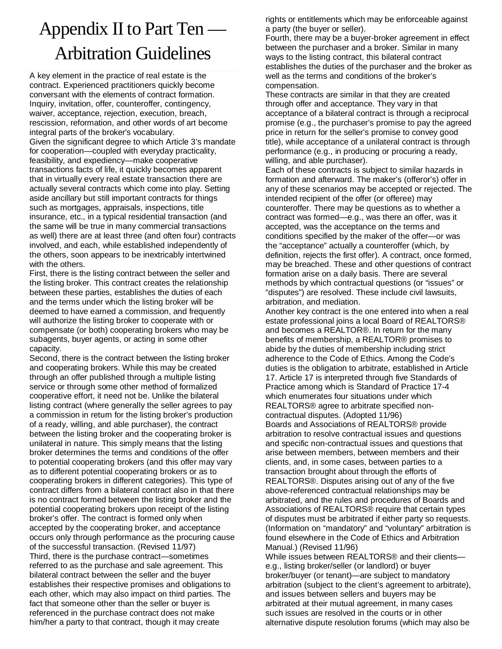# Appendix II to Part Ten — Arbitration Guidelines

A key element in the practice of real estate is the contract. Experienced practitioners quickly become conversant with the elements of contract formation. Inquiry, invitation, offer, counteroffer, contingency, waiver, acceptance, rejection, execution, breach, rescission, reformation, and other words of art become integral parts of the broker's vocabulary. Given the significant degree to which Article 3's mandate for cooperation—coupled with everyday practicality, feasibility, and expediency—make cooperative transactions facts of life, it quickly becomes apparent that in virtually every real estate transaction there are actually several contracts which come into play. Setting aside ancillary but still important contracts for things such as mortgages, appraisals, inspections, title insurance, etc., in a typical residential transaction (and the same will be true in many commercial transactions as well) there are at least three (and often four) contracts involved, and each, while established independently of the others, soon appears to be inextricably intertwined with the others.

First, there is the listing contract between the seller and the listing broker. This contract creates the relationship between these parties, establishes the duties of each and the terms under which the listing broker will be deemed to have earned a commission, and frequently will authorize the listing broker to cooperate with or compensate (or both) cooperating brokers who may be subagents, buyer agents, or acting in some other capacity.

Second, there is the contract between the listing broker and cooperating brokers. While this may be created through an offer published through a multiple listing service or through some other method of formalized cooperative effort, it need not be. Unlike the bilateral listing contract (where generally the seller agrees to pay a commission in return for the listing broker's production of a ready, willing, and able purchaser), the contract between the listing broker and the cooperating broker is unilateral in nature. This simply means that the listing broker determines the terms and conditions of the offer to potential cooperating brokers (and this offer may vary as to different potential cooperating brokers or as to cooperating brokers in different categories). This type of contract differs from a bilateral contract also in that there is no contract formed between the listing broker and the potential cooperating brokers upon receipt of the listing broker's offer. The contract is formed only when accepted by the cooperating broker, and acceptance occurs only through performance as the procuring cause of the successful transaction. (Revised 11/97) Third, there is the purchase contract—sometimes referred to as the purchase and sale agreement. This bilateral contract between the seller and the buyer establishes their respective promises and obligations to each other, which may also impact on third parties. The fact that someone other than the seller or buyer is referenced in the purchase contract does not make him/her a party to that contract, though it may create

rights or entitlements which may be enforceable against a party (the buyer or seller).

Fourth, there may be a buyer-broker agreement in effect between the purchaser and a broker. Similar in many ways to the listing contract, this bilateral contract establishes the duties of the purchaser and the broker as well as the terms and conditions of the broker's compensation.

These contracts are similar in that they are created through offer and acceptance. They vary in that acceptance of a bilateral contract is through a reciprocal promise (e.g., the purchaser's promise to pay the agreed price in return for the seller's promise to convey good title), while acceptance of a unilateral contract is through performance (e.g., in producing or procuring a ready, willing, and able purchaser).

Each of these contracts is subject to similar hazards in formation and afterward. The maker's (offeror's) offer in any of these scenarios may be accepted or rejected. The intended recipient of the offer (or offeree) may counteroffer. There may be questions as to whether a contract was formed—e.g., was there an offer, was it accepted, was the acceptance on the terms and conditions specified by the maker of the offer—or was the "acceptance" actually a counteroffer (which, by definition, rejects the first offer). A contract, once formed, may be breached. These and other questions of contract formation arise on a daily basis. There are several methods by which contractual questions (or "issues" or "disputes") are resolved. These include civil lawsuits, arbitration, and mediation.

Another key contract is the one entered into when a real estate professional joins a local Board of REALTORS® and becomes a REALTOR®. In return for the many benefits of membership, a REALTOR® promises to abide by the duties of membership including strict adherence to the Code of Ethics. Among the Code's duties is the obligation to arbitrate, established in Article 17. Article 17 is interpreted through five Standards of Practice among which is Standard of Practice 17-4 which enumerates four situations under which REALTORS® agree to arbitrate specified noncontractual disputes. (Adopted 11/96) Boards and Associations of REALTORS® provide arbitration to resolve contractual issues and questions and specific non-contractual issues and questions that arise between members, between members and their clients, and, in some cases, between parties to a transaction brought about through the efforts of REALTORS®. Disputes arising out of any of the five above-referenced contractual relationships may be arbitrated, and the rules and procedures of Boards and Associations of REALTORS® require that certain types of disputes must be arbitrated if either party so requests. (Information on "mandatory" and "voluntary" arbitration is found elsewhere in the Code of Ethics and Arbitration Manual.) (Revised 11/96)

While issues between REALTORS® and their clientse.g., listing broker/seller (or landlord) or buyer broker/buyer (or tenant)—are subject to mandatory arbitration (subject to the client's agreement to arbitrate), and issues between sellers and buyers may be arbitrated at their mutual agreement, in many cases such issues are resolved in the courts or in other alternative dispute resolution forums (which may also be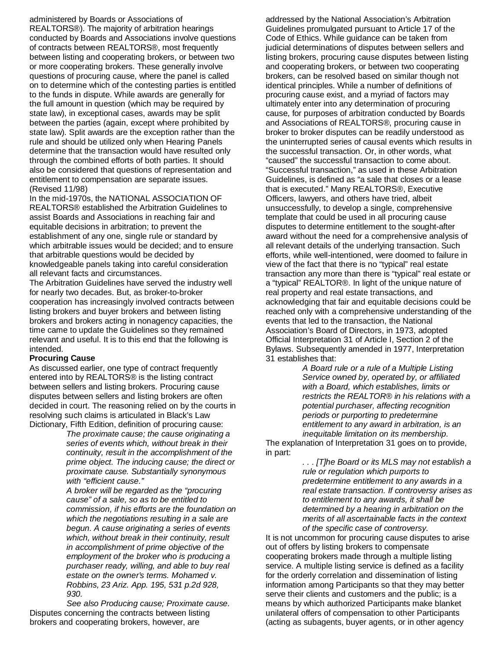administered by Boards or Associations of REALTORS®). The majority of arbitration hearings conducted by Boards and Associations involve questions of contracts between REALTORS®, most frequently between listing and cooperating brokers, or between two or more cooperating brokers. These generally involve questions of procuring cause, where the panel is called on to determine which of the contesting parties is entitled to the funds in dispute. While awards are generally for the full amount in question (which may be required by state law), in exceptional cases, awards may be split between the parties (again, except where prohibited by state law). Split awards are the exception rather than the rule and should be utilized only when Hearing Panels determine that the transaction would have resulted only through the combined efforts of both parties. It should also be considered that questions of representation and entitlement to compensation are separate issues. (Revised 11/98)

In the mid-1970s, the NATIONAL ASSOCIATION OF REALTORS® established the Arbitration Guidelines to assist Boards and Associations in reaching fair and equitable decisions in arbitration; to prevent the establishment of any one, single rule or standard by which arbitrable issues would be decided; and to ensure that arbitrable questions would be decided by knowledgeable panels taking into careful consideration all relevant facts and circumstances.

The Arbitration Guidelines have served the industry well for nearly two decades. But, as broker-to-broker cooperation has increasingly involved contracts between listing brokers and buyer brokers and between listing brokers and brokers acting in nonagency capacities, the time came to update the Guidelines so they remained relevant and useful. It is to this end that the following is intended.

#### **Procuring Cause**

As discussed earlier, one type of contract frequently entered into by REALTORS® is the listing contract between sellers and listing brokers. Procuring cause disputes between sellers and listing brokers are often decided in court. The reasoning relied on by the courts in resolving such claims is articulated in Black's Law Dictionary, Fifth Edition, definition of procuring cause:

*The proximate cause; the cause originating a series of events which, without break in their continuity, result in the accomplishment of the prime object. The inducing cause; the direct or proximate cause. Substantially synonymous with "efficient cause."*

*A broker will be regarded as the "procuring cause" of a sale, so as to be entitled to commission, if his efforts are the foundation on which the negotiations resulting in a sale are begun. A cause originating a series of events which, without break in their continuity, result in accomplishment of prime objective of the employment of the broker who is producing a purchaser ready, willing, and able to buy real estate on the owner's terms. Mohamed v. Robbins, 23 Ariz. App. 195, 531 p.2d 928, 930.*

*See also Producing cause; Proximate cause.* Disputes concerning the contracts between listing brokers and cooperating brokers, however, are

addressed by the National Association's Arbitration Guidelines promulgated pursuant to Article 17 of the Code of Ethics. While guidance can be taken from judicial determinations of disputes between sellers and listing brokers, procuring cause disputes between listing and cooperating brokers, or between two cooperating brokers, can be resolved based on similar though not identical principles. While a number of definitions of procuring cause exist, and a myriad of factors may ultimately enter into any determination of procuring cause, for purposes of arbitration conducted by Boards and Associations of REALTORS®, procuring cause in broker to broker disputes can be readily understood as the uninterrupted series of causal events which results in the successful transaction. Or, in other words, what "caused" the successful transaction to come about. "Successful transaction," as used in these Arbitration Guidelines, is defined as "a sale that closes or a lease that is executed." Many REALTORS®, Executive Officers, lawyers, and others have tried, albeit unsuccessfully, to develop a single, comprehensive template that could be used in all procuring cause disputes to determine entitlement to the sought-after award without the need for a comprehensive analysis of all relevant details of the underlying transaction. Such efforts, while well-intentioned, were doomed to failure in view of the fact that there is no "typical" real estate transaction any more than there is "typical" real estate or a "typical" REALTOR®. In light of the unique nature of real property and real estate transactions, and acknowledging that fair and equitable decisions could be reached only with a comprehensive understanding of the events that led to the transaction, the National Association's Board of Directors, in 1973, adopted Official Interpretation 31 of Article I, Section 2 of the Bylaws. Subsequently amended in 1977, Interpretation 31 establishes that:

> *A Board rule or a rule of a Multiple Listing Service owned by, operated by, or affiliated with a Board, which establishes, limits or restricts the REALTOR® in his relations with a potential purchaser, affecting recognition periods or purporting to predetermine entitlement to any award in arbitration, is an inequitable limitation on its membership.*

The explanation of Interpretation 31 goes on to provide, in part:

> *. . . [T]he Board or its MLS may not establish a rule or regulation which purports to predetermine entitlement to any awards in a real estate transaction. If controversy arises as to entitlement to any awards, it shall be determined by a hearing in arbitration on the merits of all ascertainable facts in the context of the specific case of controversy.*

It is not uncommon for procuring cause disputes to arise out of offers by listing brokers to compensate cooperating brokers made through a multiple listing service. A multiple listing service is defined as a facility for the orderly correlation and dissemination of listing information among Participants so that they may better serve their clients and customers and the public; is a means by which authorized Participants make blanket unilateral offers of compensation to other Participants (acting as subagents, buyer agents, or in other agency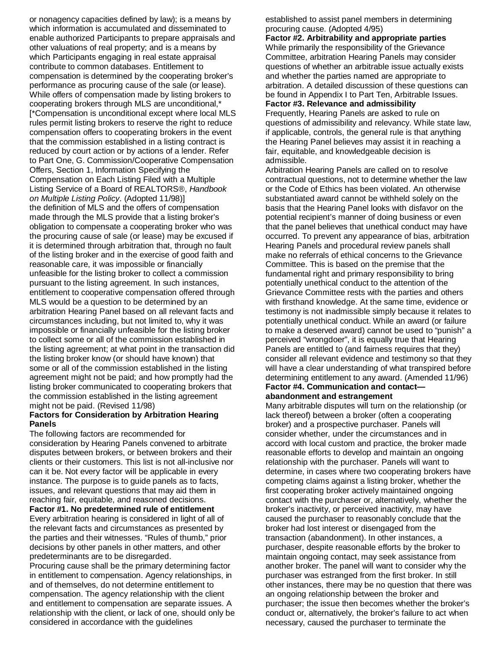or nonagency capacities defined by law); is a means by which information is accumulated and disseminated to enable authorized Participants to prepare appraisals and other valuations of real property; and is a means by which Participants engaging in real estate appraisal contribute to common databases. Entitlement to compensation is determined by the cooperating broker's performance as procuring cause of the sale (or lease). While offers of compensation made by listing brokers to cooperating brokers through MLS are unconditional,\* [\*Compensation is unconditional except where local MLS rules permit listing brokers to reserve the right to reduce compensation offers to cooperating brokers in the event that the commission established in a listing contract is reduced by court action or by actions of a lender. Refer to Part One, G. Commission/Cooperative Compensation Offers, Section 1, Information Specifying the Compensation on Each Listing Filed with a Multiple Listing Service of a Board of REALTORS®, *Handbook on Multiple Listing Policy*. (Adopted 11/98)] the definition of MLS and the offers of compensation made through the MLS provide that a listing broker's obligation to compensate a cooperating broker who was the procuring cause of sale (or lease) may be excused if it is determined through arbitration that, through no fault of the listing broker and in the exercise of good faith and reasonable care, it was impossible or financially unfeasible for the listing broker to collect a commission pursuant to the listing agreement. In such instances, entitlement to cooperative compensation offered through MLS would be a question to be determined by an arbitration Hearing Panel based on all relevant facts and circumstances including, but not limited to, why it was impossible or financially unfeasible for the listing broker to collect some or all of the commission established in the listing agreement; at what point in the transaction did the listing broker know (or should have known) that some or all of the commission established in the listing agreement might not be paid; and how promptly had the listing broker communicated to cooperating brokers that the commission established in the listing agreement might not be paid. (Revised 11/98)

#### **Factors for Consideration by Arbitration Hearing Panels**

The following factors are recommended for consideration by Hearing Panels convened to arbitrate disputes between brokers, or between brokers and their clients or their customers. This list is not all-inclusive nor can it be. Not every factor will be applicable in every instance. The purpose is to guide panels as to facts, issues, and relevant questions that may aid them in reaching fair, equitable, and reasoned decisions.

**Factor #1. No predetermined rule of entitlement** Every arbitration hearing is considered in light of all of the relevant facts and circumstances as presented by the parties and their witnesses. "Rules of thumb," prior decisions by other panels in other matters, and other predeterminants are to be disregarded.

Procuring cause shall be the primary determining factor in entitlement to compensation. Agency relationships, in and of themselves, do not determine entitlement to compensation. The agency relationship with the client and entitlement to compensation are separate issues. A relationship with the client, or lack of one, should only be considered in accordance with the guidelines

established to assist panel members in determining procuring cause. (Adopted 4/95)

**Factor #2. Arbitrability and appropriate parties** While primarily the responsibility of the Grievance Committee, arbitration Hearing Panels may consider questions of whether an arbitrable issue actually exists and whether the parties named are appropriate to arbitration. A detailed discussion of these questions can be found in Appendix I to Part Ten, Arbitrable Issues. **Factor #3. Relevance and admissibility**

Frequently, Hearing Panels are asked to rule on questions of admissibility and relevancy. While state law, if applicable, controls, the general rule is that anything the Hearing Panel believes may assist it in reaching a fair, equitable, and knowledgeable decision is admissible.

Arbitration Hearing Panels are called on to resolve contractual questions, not to determine whether the law or the Code of Ethics has been violated. An otherwise substantiated award cannot be withheld solely on the basis that the Hearing Panel looks with disfavor on the potential recipient's manner of doing business or even that the panel believes that unethical conduct may have occurred. To prevent any appearance of bias, arbitration Hearing Panels and procedural review panels shall make no referrals of ethical concerns to the Grievance Committee. This is based on the premise that the fundamental right and primary responsibility to bring potentially unethical conduct to the attention of the Grievance Committee rests with the parties and others with firsthand knowledge. At the same time, evidence or testimony is not inadmissible simply because it relates to potentially unethical conduct. While an award (or failure to make a deserved award) cannot be used to "punish" a perceived "wrongdoer", it is equally true that Hearing Panels are entitled to (and fairness requires that they) consider all relevant evidence and testimony so that they will have a clear understanding of what transpired before determining entitlement to any award. (Amended 11/96) **Factor #4. Communication and contact—**

# **abandonment and estrangement**

Many arbitrable disputes will turn on the relationship (or lack thereof) between a broker (often a cooperating broker) and a prospective purchaser. Panels will consider whether, under the circumstances and in accord with local custom and practice, the broker made reasonable efforts to develop and maintain an ongoing relationship with the purchaser. Panels will want to determine, in cases where two cooperating brokers have competing claims against a listing broker, whether the first cooperating broker actively maintained ongoing contact with the purchaser or, alternatively, whether the broker's inactivity, or perceived inactivity, may have caused the purchaser to reasonably conclude that the broker had lost interest or disengaged from the transaction (abandonment). In other instances, a purchaser, despite reasonable efforts by the broker to maintain ongoing contact, may seek assistance from another broker. The panel will want to consider why the purchaser was estranged from the first broker. In still other instances, there may be no question that there was an ongoing relationship between the broker and purchaser; the issue then becomes whether the broker's conduct or, alternatively, the broker's failure to act when necessary, caused the purchaser to terminate the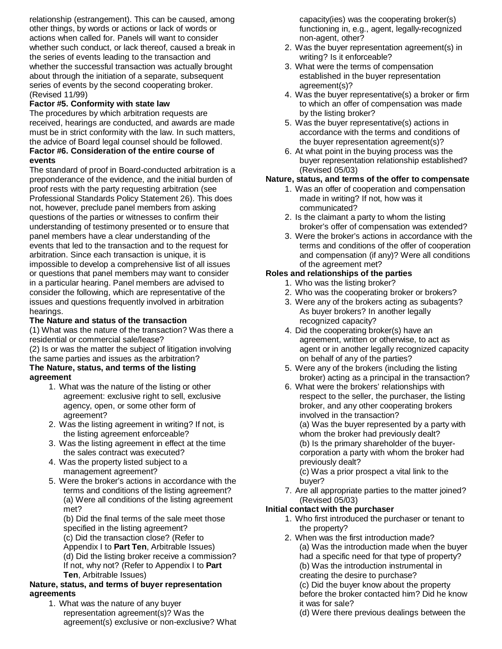relationship (estrangement). This can be caused, among other things, by words or actions or lack of words or actions when called for. Panels will want to consider whether such conduct, or lack thereof, caused a break in the series of events leading to the transaction and whether the successful transaction was actually brought about through the initiation of a separate, subsequent series of events by the second cooperating broker. (Revised 11/99)

# **Factor #5. Conformity with state law**

The procedures by which arbitration requests are received, hearings are conducted, and awards are made must be in strict conformity with the law. In such matters, the advice of Board legal counsel should be followed. **Factor #6. Consideration of the entire course of events**

The standard of proof in Board-conducted arbitration is a preponderance of the evidence, and the initial burden of proof rests with the party requesting arbitration (see Professional Standards Policy Statement 26). This does not, however, preclude panel members from asking questions of the parties or witnesses to confirm their understanding of testimony presented or to ensure that panel members have a clear understanding of the events that led to the transaction and to the request for arbitration. Since each transaction is unique, it is impossible to develop a comprehensive list of all issues or questions that panel members may want to consider in a particular hearing. Panel members are advised to consider the following, which are representative of the issues and questions frequently involved in arbitration hearings.

# **The Nature and status of the transaction**

(1) What was the nature of the transaction? Was there a residential or commercial sale/lease?

(2) Is or was the matter the subject of litigation involving the same parties and issues as the arbitration?

# **The Nature, status, and terms of the listing agreement**

- 1. What was the nature of the listing or other agreement: exclusive right to sell, exclusive agency, open, or some other form of agreement?
- 2. Was the listing agreement in writing? If not, is the listing agreement enforceable?
- 3. Was the listing agreement in effect at the time the sales contract was executed?
- 4. Was the property listed subject to a management agreement?
- 5. Were the broker's actions in accordance with the terms and conditions of the listing agreement? (a) Were all conditions of the listing agreement met?

(b) Did the final terms of the sale meet those specified in the listing agreement? (c) Did the transaction close? (Refer to Appendix I to **Part Ten**, Arbitrable Issues) (d) Did the listing broker receive a commission? If not, why not? (Refer to Appendix I to **Part Ten**, Arbitrable Issues)

### **Nature, status, and terms of buyer representation agreements**

1. What was the nature of any buyer representation agreement(s)? Was the agreement(s) exclusive or non-exclusive? What capacity(ies) was the cooperating broker(s) functioning in, e.g., agent, legally-recognized non-agent, other?

- 2. Was the buyer representation agreement(s) in writing? Is it enforceable?
- 3. What were the terms of compensation established in the buyer representation agreement(s)?
- 4. Was the buyer representative(s) a broker or firm to which an offer of compensation was made by the listing broker?
- 5. Was the buyer representative(s) actions in accordance with the terms and conditions of the buyer representation agreement(s)?
- 6. At what point in the buying process was the buyer representation relationship established? (Revised 05/03)

# **Nature, status, and terms of the offer to compensate**

- 1. Was an offer of cooperation and compensation made in writing? If not, how was it communicated?
- 2. Is the claimant a party to whom the listing broker's offer of compensation was extended?
- 3. Were the broker's actions in accordance with the terms and conditions of the offer of cooperation and compensation (if any)? Were all conditions of the agreement met?

# **Roles and relationships of the parties**

- 1. Who was the listing broker?
- 2. Who was the cooperating broker or brokers?
- 3. Were any of the brokers acting as subagents? As buyer brokers? In another legally recognized capacity?
- 4. Did the cooperating broker(s) have an agreement, written or otherwise, to act as agent or in another legally recognized capacity on behalf of any of the parties?
- 5. Were any of the brokers (including the listing broker) acting as a principal in the transaction?
- 6. What were the brokers' relationships with respect to the seller, the purchaser, the listing broker, and any other cooperating brokers involved in the transaction? (a) Was the buyer represented by a party with whom the broker had previously dealt? (b) Is the primary shareholder of the buyercorporation a party with whom the broker had previously dealt? (c) Was a prior prospect a vital link to the buyer?
- 7. Are all appropriate parties to the matter joined? (Revised 05/03)

# **Initial contact with the purchaser**

- 1. Who first introduced the purchaser or tenant to the property?
- 2. When was the first introduction made? (a) Was the introduction made when the buyer had a specific need for that type of property? (b) Was the introduction instrumental in creating the desire to purchase? (c) Did the buyer know about the property before the broker contacted him? Did he know it was for sale?
	- (d) Were there previous dealings between the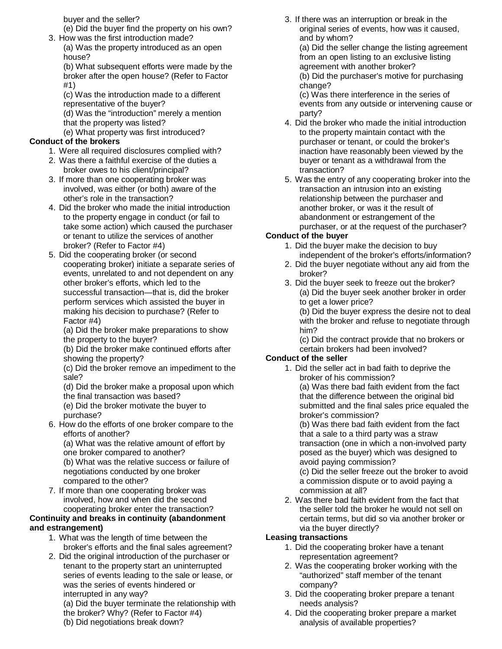buyer and the seller?

(e) Did the buyer find the property on his own?

3. How was the first introduction made? (a) Was the property introduced as an open house?

(b) What subsequent efforts were made by the broker after the open house? (Refer to Factor #1)

(c) Was the introduction made to a different representative of the buyer? (d) Was the "introduction" merely a mention

that the property was listed?

(e) What property was first introduced?

# **Conduct of the brokers**

- 1. Were all required disclosures complied with?
- 2. Was there a faithful exercise of the duties a broker owes to his client/principal?
- 3. If more than one cooperating broker was involved, was either (or both) aware of the other's role in the transaction?
- 4. Did the broker who made the initial introduction to the property engage in conduct (or fail to take some action) which caused the purchaser or tenant to utilize the services of another broker? (Refer to Factor #4)
- 5. Did the cooperating broker (or second cooperating broker) initiate a separate series of events, unrelated to and not dependent on any other broker's efforts, which led to the successful transaction—that is, did the broker perform services which assisted the buyer in making his decision to purchase? (Refer to Factor #4)

(a) Did the broker make preparations to show the property to the buyer?

(b) Did the broker make continued efforts after showing the property?

(c) Did the broker remove an impediment to the sale?

(d) Did the broker make a proposal upon which the final transaction was based?

(e) Did the broker motivate the buyer to purchase?

6. How do the efforts of one broker compare to the efforts of another?

(a) What was the relative amount of effort by one broker compared to another?

(b) What was the relative success or failure of negotiations conducted by one broker compared to the other?

7. If more than one cooperating broker was involved, how and when did the second cooperating broker enter the transaction?

# **Continuity and breaks in continuity (abandonment and estrangement)**

- 1. What was the length of time between the broker's efforts and the final sales agreement?
- 2. Did the original introduction of the purchaser or tenant to the property start an uninterrupted series of events leading to the sale or lease, or was the series of events hindered or interrupted in any way?

(a) Did the buyer terminate the relationship with

- the broker? Why? (Refer to Factor #4)
- (b) Did negotiations break down?

3. If there was an interruption or break in the original series of events, how was it caused, and by whom? (a) Did the seller change the listing agreement from an open listing to an exclusive listing agreement with another broker? (b) Did the purchaser's motive for purchasing change? (c) Was there interference in the series of

events from any outside or intervening cause or party?

- 4. Did the broker who made the initial introduction to the property maintain contact with the purchaser or tenant, or could the broker's inaction have reasonably been viewed by the buyer or tenant as a withdrawal from the transaction?
- 5. Was the entry of any cooperating broker into the transaction an intrusion into an existing relationship between the purchaser and another broker, or was it the result of abandonment or estrangement of the purchaser, or at the request of the purchaser?

# **Conduct of the buyer**

- 1. Did the buyer make the decision to buy independent of the broker's efforts/information?
- 2. Did the buyer negotiate without any aid from the broker?
- 3. Did the buyer seek to freeze out the broker? (a) Did the buyer seek another broker in order to get a lower price?

(b) Did the buyer express the desire not to deal with the broker and refuse to negotiate through him?

(c) Did the contract provide that no brokers or certain brokers had been involved?

# **Conduct of the seller**

1. Did the seller act in bad faith to deprive the broker of his commission?

(a) Was there bad faith evident from the fact that the difference between the original bid submitted and the final sales price equaled the broker's commission?

(b) Was there bad faith evident from the fact that a sale to a third party was a straw transaction (one in which a non-involved party posed as the buyer) which was designed to avoid paying commission?

(c) Did the seller freeze out the broker to avoid a commission dispute or to avoid paying a commission at all?

2. Was there bad faith evident from the fact that the seller told the broker he would not sell on certain terms, but did so via another broker or via the buyer directly?

# **Leasing transactions**

- 1. Did the cooperating broker have a tenant representation agreement?
- 2. Was the cooperating broker working with the "authorized" staff member of the tenant company?
- 3. Did the cooperating broker prepare a tenant needs analysis?
- 4. Did the cooperating broker prepare a market analysis of available properties?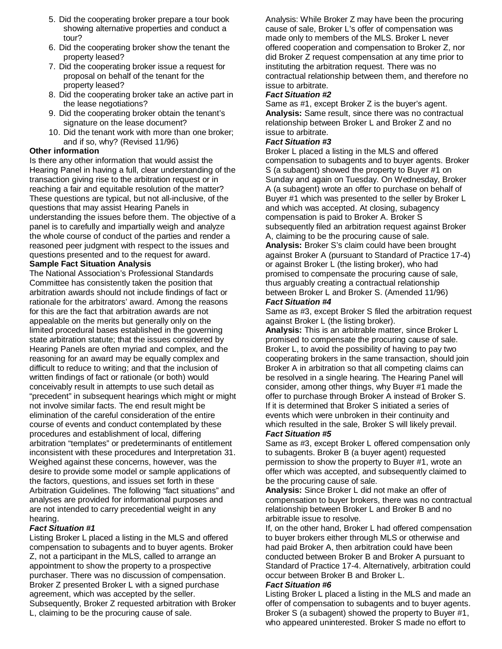- 5. Did the cooperating broker prepare a tour book showing alternative properties and conduct a tour?
- 6. Did the cooperating broker show the tenant the property leased?
- 7. Did the cooperating broker issue a request for proposal on behalf of the tenant for the property leased?
- 8. Did the cooperating broker take an active part in the lease negotiations?
- 9. Did the cooperating broker obtain the tenant's signature on the lease document?
- 10. Did the tenant work with more than one broker; and if so, why? (Revised 11/96)

# **Other information**

Is there any other information that would assist the Hearing Panel in having a full, clear understanding of the transaction giving rise to the arbitration request or in reaching a fair and equitable resolution of the matter? These questions are typical, but not all-inclusive, of the questions that may assist Hearing Panels in understanding the issues before them. The objective of a panel is to carefully and impartially weigh and analyze the whole course of conduct of the parties and render a reasoned peer judgment with respect to the issues and questions presented and to the request for award.

# **Sample Fact Situation Analysis**

The National Association's Professional Standards Committee has consistently taken the position that arbitration awards should not include findings of fact or rationale for the arbitrators' award. Among the reasons for this are the fact that arbitration awards are not appealable on the merits but generally only on the limited procedural bases established in the governing state arbitration statute; that the issues considered by Hearing Panels are often myriad and complex, and the reasoning for an award may be equally complex and difficult to reduce to writing; and that the inclusion of written findings of fact or rationale (or both) would conceivably result in attempts to use such detail as "precedent" in subsequent hearings which might or might not involve similar facts. The end result might be elimination of the careful consideration of the entire course of events and conduct contemplated by these procedures and establishment of local, differing arbitration "templates" or predeterminants of entitlement inconsistent with these procedures and Interpretation 31. Weighed against these concerns, however, was the desire to provide some model or sample applications of the factors, questions, and issues set forth in these Arbitration Guidelines. The following "fact situations" and analyses are provided for informational purposes and are not intended to carry precedential weight in any hearing.

# *Fact Situation #1*

Listing Broker L placed a listing in the MLS and offered compensation to subagents and to buyer agents. Broker Z, not a participant in the MLS, called to arrange an appointment to show the property to a prospective purchaser. There was no discussion of compensation. Broker Z presented Broker L with a signed purchase agreement, which was accepted by the seller. Subsequently, Broker Z requested arbitration with Broker L, claiming to be the procuring cause of sale.

Analysis: While Broker Z may have been the procuring cause of sale, Broker L's offer of compensation was made only to members of the MLS. Broker L never offered cooperation and compensation to Broker Z, nor did Broker Z request compensation at any time prior to instituting the arbitration request. There was no contractual relationship between them, and therefore no issue to arbitrate.

# *Fact Situation #2*

Same as #1, except Broker Z is the buyer's agent. **Analysis:** Same result, since there was no contractual relationship between Broker L and Broker Z and no issue to arbitrate.

### *Fact Situation #3*

Broker L placed a listing in the MLS and offered compensation to subagents and to buyer agents. Broker S (a subagent) showed the property to Buyer #1 on Sunday and again on Tuesday. On Wednesday, Broker A (a subagent) wrote an offer to purchase on behalf of Buyer #1 which was presented to the seller by Broker L and which was accepted. At closing, subagency compensation is paid to Broker A. Broker S subsequently filed an arbitration request against Broker A, claiming to be the procuring cause of sale. **Analysis:** Broker S's claim could have been brought against Broker A (pursuant to Standard of Practice 17-4) or against Broker L (the listing broker), who had promised to compensate the procuring cause of sale, thus arguably creating a contractual relationship between Broker L and Broker S. (Amended 11/96) *Fact Situation #4*

Same as #3, except Broker S filed the arbitration request against Broker L (the listing broker).

**Analysis:** This is an arbitrable matter, since Broker L promised to compensate the procuring cause of sale. Broker L, to avoid the possibility of having to pay two cooperating brokers in the same transaction, should join Broker A in arbitration so that all competing claims can be resolved in a single hearing. The Hearing Panel will consider, among other things, why Buyer #1 made the offer to purchase through Broker A instead of Broker S. If it is determined that Broker S initiated a series of events which were unbroken in their continuity and which resulted in the sale, Broker S will likely prevail. *Fact Situation #5*

#### Same as #3, except Broker L offered compensation only to subagents. Broker B (a buyer agent) requested permission to show the property to Buyer #1, wrote an offer which was accepted, and subsequently claimed to be the procuring cause of sale.

**Analysis:** Since Broker L did not make an offer of compensation to buyer brokers, there was no contractual relationship between Broker L and Broker B and no arbitrable issue to resolve.

If, on the other hand, Broker L had offered compensation to buyer brokers either through MLS or otherwise and had paid Broker A, then arbitration could have been conducted between Broker B and Broker A pursuant to Standard of Practice 17-4. Alternatively, arbitration could occur between Broker B and Broker L.

#### *Fact Situation #6*

Listing Broker L placed a listing in the MLS and made an offer of compensation to subagents and to buyer agents. Broker S (a subagent) showed the property to Buyer #1, who appeared uninterested. Broker S made no effort to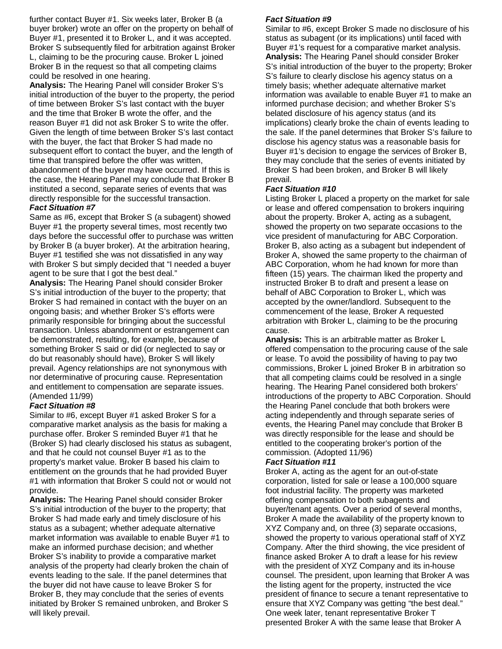further contact Buyer #1. Six weeks later, Broker B (a buyer broker) wrote an offer on the property on behalf of Buyer #1, presented it to Broker L, and it was accepted. Broker S subsequently filed for arbitration against Broker L, claiming to be the procuring cause. Broker L joined Broker B in the request so that all competing claims could be resolved in one hearing.

**Analysis:** The Hearing Panel will consider Broker S's initial introduction of the buyer to the property, the period of time between Broker S's last contact with the buyer and the time that Broker B wrote the offer, and the reason Buyer #1 did not ask Broker S to write the offer. Given the length of time between Broker S's last contact with the buyer, the fact that Broker S had made no subsequent effort to contact the buyer, and the length of time that transpired before the offer was written, abandonment of the buyer may have occurred. If this is the case, the Hearing Panel may conclude that Broker B instituted a second, separate series of events that was directly responsible for the successful transaction.

### *Fact Situation #7*

Same as #6, except that Broker S (a subagent) showed Buyer #1 the property several times, most recently two days before the successful offer to purchase was written by Broker B (a buyer broker). At the arbitration hearing, Buyer #1 testified she was not dissatisfied in any way with Broker S but simply decided that "I needed a buyer agent to be sure that I got the best deal."

**Analysis:** The Hearing Panel should consider Broker S's initial introduction of the buyer to the property; that Broker S had remained in contact with the buyer on an ongoing basis; and whether Broker S's efforts were primarily responsible for bringing about the successful transaction. Unless abandonment or estrangement can be demonstrated, resulting, for example, because of something Broker S said or did (or neglected to say or do but reasonably should have), Broker S will likely prevail. Agency relationships are not synonymous with nor determinative of procuring cause. Representation and entitlement to compensation are separate issues. (Amended 11/99)

#### *Fact Situation #8*

Similar to #6, except Buyer #1 asked Broker S for a comparative market analysis as the basis for making a purchase offer. Broker S reminded Buyer #1 that he (Broker S) had clearly disclosed his status as subagent, and that he could not counsel Buyer #1 as to the property's market value. Broker B based his claim to entitlement on the grounds that he had provided Buyer #1 with information that Broker S could not or would not provide.

**Analysis:** The Hearing Panel should consider Broker S's initial introduction of the buyer to the property; that Broker S had made early and timely disclosure of his status as a subagent; whether adequate alternative market information was available to enable Buyer #1 to make an informed purchase decision; and whether Broker S's inability to provide a comparative market analysis of the property had clearly broken the chain of events leading to the sale. If the panel determines that the buyer did not have cause to leave Broker S for Broker B, they may conclude that the series of events initiated by Broker S remained unbroken, and Broker S will likely prevail.

#### *Fact Situation #9*

Similar to #6, except Broker S made no disclosure of his status as subagent (or its implications) until faced with Buyer #1's request for a comparative market analysis. **Analysis:** The Hearing Panel should consider Broker S's initial introduction of the buyer to the property; Broker S's failure to clearly disclose his agency status on a timely basis; whether adequate alternative market information was available to enable Buyer #1 to make an informed purchase decision; and whether Broker S's belated disclosure of his agency status (and its implications) clearly broke the chain of events leading to the sale. If the panel determines that Broker S's failure to disclose his agency status was a reasonable basis for Buyer #1's decision to engage the services of Broker B, they may conclude that the series of events initiated by Broker S had been broken, and Broker B will likely prevail.

### *Fact Situation #10*

Listing Broker L placed a property on the market for sale or lease and offered compensation to brokers inquiring about the property. Broker A, acting as a subagent, showed the property on two separate occasions to the vice president of manufacturing for ABC Corporation. Broker B, also acting as a subagent but independent of Broker A, showed the same property to the chairman of ABC Corporation, whom he had known for more than fifteen (15) years. The chairman liked the property and instructed Broker B to draft and present a lease on behalf of ABC Corporation to Broker L, which was accepted by the owner/landlord. Subsequent to the commencement of the lease, Broker A requested arbitration with Broker L, claiming to be the procuring cause.

**Analysis:** This is an arbitrable matter as Broker L offered compensation to the procuring cause of the sale or lease. To avoid the possibility of having to pay two commissions, Broker L joined Broker B in arbitration so that all competing claims could be resolved in a single hearing. The Hearing Panel considered both brokers' introductions of the property to ABC Corporation. Should the Hearing Panel conclude that both brokers were acting independently and through separate series of events, the Hearing Panel may conclude that Broker B was directly responsible for the lease and should be entitled to the cooperating broker's portion of the commission. (Adopted 11/96)

#### *Fact Situation #11*

Broker A, acting as the agent for an out-of-state corporation, listed for sale or lease a 100,000 square foot industrial facility. The property was marketed offering compensation to both subagents and buyer/tenant agents. Over a period of several months, Broker A made the availability of the property known to XYZ Company and, on three (3) separate occasions, showed the property to various operational staff of XYZ Company. After the third showing, the vice president of finance asked Broker A to draft a lease for his review with the president of XYZ Company and its in-house counsel. The president, upon learning that Broker A was the listing agent for the property, instructed the vice president of finance to secure a tenant representative to ensure that XYZ Company was getting "the best deal." One week later, tenant representative Broker T presented Broker A with the same lease that Broker A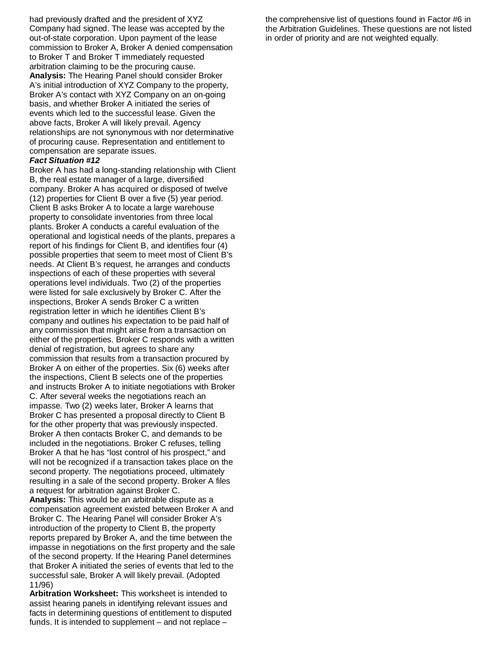had previously drafted and the president of XYZ Company had signed. The lease was accepted by the out-of-state corporation. Upon payment of the lease commission to Broker A, Broker A denied compensation to Broker T and Broker T immediately requested arbitration claiming to be the procuring cause. **Analysis:** The Hearing Panel should consider Broker A's initial introduction of XYZ Company to the property, Broker A's contact with XYZ Company on an on-going basis, and whether Broker A initiated the series of events which led to the successful lease. Given the above facts, Broker A will likely prevail. Agency relationships are not synonymous with nor determinative of procuring cause. Representation and entitlement to compensation are separate issues.

#### *Fact Situation #12*

Broker A has had a long-standing relationship with Client B, the real estate manager of a large, diversified company. Broker A has acquired or disposed of twelve (12) properties for Client B over a five (5) year period. Client B asks Broker A to locate a large warehouse property to consolidate inventories from three local plants. Broker A conducts a careful evaluation of the operational and logistical needs of the plants, prepares a report of his findings for Client B, and identifies four (4) possible properties that seem to meet most of Client B's needs. At Client B's request, he arranges and conducts inspections of each of these properties with several operations level individuals. Two (2) of the properties were listed for sale exclusively by Broker C. After the inspections, Broker A sends Broker C a written registration letter in which he identifies Client B's company and outlines his expectation to be paid half of any commission that might arise from a transaction on either of the properties. Broker C responds with a written denial of registration, but agrees to share any commission that results from a transaction procured by Broker A on either of the properties. Six (6) weeks after the inspections, Client B selects one of the properties and instructs Broker A to initiate negotiations with Broker C. After several weeks the negotiations reach an impasse. Two (2) weeks later, Broker A learns that Broker C has presented a proposal directly to Client B for the other property that was previously inspected. Broker A then contacts Broker C, and demands to be included in the negotiations. Broker C refuses, telling Broker A that he has "lost control of his prospect," and will not be recognized if a transaction takes place on the second property. The negotiations proceed, ultimately resulting in a sale of the second property. Broker A files a request for arbitration against Broker C. **Analysis:** This would be an arbitrable dispute as a

compensation agreement existed between Broker A and Broker C. The Hearing Panel will consider Broker A's introduction of the property to Client B, the property reports prepared by Broker A, and the time between the impasse in negotiations on the first property and the sale of the second property. If the Hearing Panel determines that Broker A initiated the series of events that led to the successful sale, Broker A will likely prevail. (Adopted 11/96)

**Arbitration Worksheet:** This worksheet is intended to assist hearing panels in identifying relevant issues and facts in determining questions of entitlement to disputed funds. It is intended to supplement – and not replace –

the comprehensive list of questions found in Factor #6 in the Arbitration Guidelines. These questions are not listed in order of priority and are not weighted equally.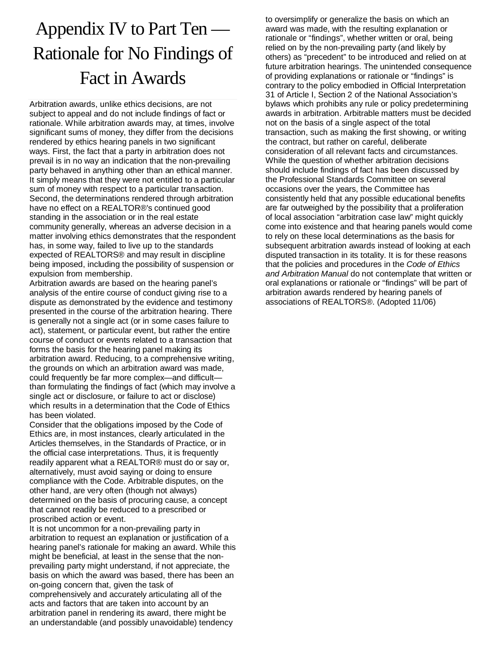# Appendix IV to Part Ten — Rationale for No Findings of Fact in Awards

Arbitration awards, unlike ethics decisions, are not subject to appeal and do not include findings of fact or rationale. While arbitration awards may, at times, involve significant sums of money, they differ from the decisions rendered by ethics hearing panels in two significant ways. First, the fact that a party in arbitration does not prevail is in no way an indication that the non-prevailing party behaved in anything other than an ethical manner. It simply means that they were not entitled to a particular sum of money with respect to a particular transaction. Second, the determinations rendered through arbitration have no effect on a REALTOR®'s continued good standing in the association or in the real estate community generally, whereas an adverse decision in a matter involving ethics demonstrates that the respondent has, in some way, failed to live up to the standards expected of REALTORS® and may result in discipline being imposed, including the possibility of suspension or expulsion from membership.

Arbitration awards are based on the hearing panel's analysis of the entire course of conduct giving rise to a dispute as demonstrated by the evidence and testimony presented in the course of the arbitration hearing. There is generally not a single act (or in some cases failure to act), statement, or particular event, but rather the entire course of conduct or events related to a transaction that forms the basis for the hearing panel making its arbitration award. Reducing, to a comprehensive writing, the grounds on which an arbitration award was made, could frequently be far more complex—and difficult than formulating the findings of fact (which may involve a single act or disclosure, or failure to act or disclose) which results in a determination that the Code of Ethics has been violated.

Consider that the obligations imposed by the Code of Ethics are, in most instances, clearly articulated in the Articles themselves, in the Standards of Practice, or in the official case interpretations. Thus, it is frequently readily apparent what a REALTOR® must do or say or, alternatively, must avoid saying or doing to ensure compliance with the Code. Arbitrable disputes, on the other hand, are very often (though not always) determined on the basis of procuring cause, a concept that cannot readily be reduced to a prescribed or proscribed action or event.

It is not uncommon for a non-prevailing party in arbitration to request an explanation or justification of a hearing panel's rationale for making an award. While this might be beneficial, at least in the sense that the nonprevailing party might understand, if not appreciate, the basis on which the award was based, there has been an on-going concern that, given the task of comprehensively and accurately articulating all of the acts and factors that are taken into account by an arbitration panel in rendering its award, there might be an understandable (and possibly unavoidable) tendency

to oversimplify or generalize the basis on which an award was made, with the resulting explanation or rationale or "findings", whether written or oral, being relied on by the non-prevailing party (and likely by others) as "precedent" to be introduced and relied on at future arbitration hearings. The unintended consequence of providing explanations or rationale or "findings" is contrary to the policy embodied in Official Interpretation 31 of Article I, Section 2 of the National Association's bylaws which prohibits any rule or policy predetermining awards in arbitration. Arbitrable matters must be decided not on the basis of a single aspect of the total transaction, such as making the first showing, or writing the contract, but rather on careful, deliberate consideration of all relevant facts and circumstances. While the question of whether arbitration decisions should include findings of fact has been discussed by the Professional Standards Committee on several occasions over the years, the Committee has consistently held that any possible educational benefits are far outweighed by the possibility that a proliferation of local association "arbitration case law" might quickly come into existence and that hearing panels would come to rely on these local determinations as the basis for subsequent arbitration awards instead of looking at each disputed transaction in its totality. It is for these reasons that the policies and procedures in the *Code of Ethics and Arbitration Manual* do not contemplate that written or oral explanations or rationale or "findings" will be part of arbitration awards rendered by hearing panels of associations of REALTORS®. (Adopted 11/06)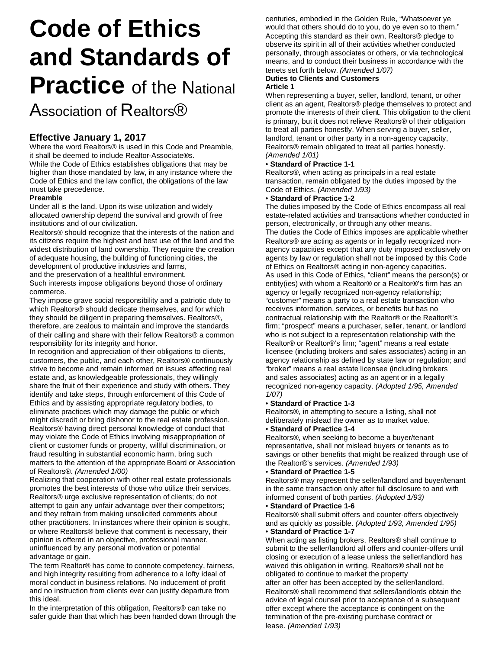# **Code of Ethics and Standards of Practice** of the National Association of Realtors<sup>®</sup>

# **Effective January 1, 2017**

Where the word Realtors® is used in this Code and Preamble, it shall be deemed to include Realtor-Associate®s.

While the Code of Ethics establishes obligations that may be higher than those mandated by law, in any instance where the Code of Ethics and the law conflict, the obligations of the law must take precedence.

# **Preamble**

Under all is the land. Upon its wise utilization and widely allocated ownership depend the survival and growth of free institutions and of our civilization.

Realtors® should recognize that the interests of the nation and its citizens require the highest and best use of the land and the widest distribution of land ownership. They require the creation of adequate housing, the building of functioning cities, the development of productive industries and farms,

and the preservation of a healthful environment.

Such interests impose obligations beyond those of ordinary commerce.

They impose grave social responsibility and a patriotic duty to which Realtors® should dedicate themselves, and for which they should be diligent in preparing themselves. Realtors®, therefore, are zealous to maintain and improve the standards of their calling and share with their fellow Realtors® a common responsibility for its integrity and honor.

In recognition and appreciation of their obligations to clients, customers, the public, and each other, Realtors® continuously strive to become and remain informed on issues affecting real estate and, as knowledgeable professionals, they willingly share the fruit of their experience and study with others. They identify and take steps, through enforcement of this Code of Ethics and by assisting appropriate regulatory bodies, to eliminate practices which may damage the public or which might discredit or bring dishonor to the real estate profession. Realtors® having direct personal knowledge of conduct that may violate the Code of Ethics involving misappropriation of client or customer funds or property, willful discrimination, or fraud resulting in substantial economic harm, bring such matters to the attention of the appropriate Board or Association of Realtors®. *(Amended 1/00)*

Realizing that cooperation with other real estate professionals promotes the best interests of those who utilize their services, Realtors® urge exclusive representation of clients; do not attempt to gain any unfair advantage over their competitors; and they refrain from making unsolicited comments about other practitioners. In instances where their opinion is sought, or where Realtors® believe that comment is necessary, their opinion is offered in an objective, professional manner, uninfluenced by any personal motivation or potential advantage or gain.

The term Realtor® has come to connote competency, fairness, and high integrity resulting from adherence to a lofty ideal of moral conduct in business relations. No inducement of profit and no instruction from clients ever can justify departure from this ideal.

In the interpretation of this obligation, Realtors® can take no safer guide than that which has been handed down through the

centuries, embodied in the Golden Rule, "Whatsoever ye would that others should do to you, do ye even so to them." Accepting this standard as their own, Realtors® pledge to observe its spirit in all of their activities whether conducted personally, through associates or others, or via technological means, and to conduct their business in accordance with the tenets set forth below. *(Amended 1/07)*

# **Duties to Clients and Customers**

#### **Article 1**

When representing a buyer, seller, landlord, tenant, or other client as an agent, Realtors® pledge themselves to protect and promote the interests of their client. This obligation to the client is primary, but it does not relieve Realtors® of their obligation to treat all parties honestly. When serving a buyer, seller, landlord, tenant or other party in a non-agency capacity, Realtors® remain obligated to treat all parties honestly. *(Amended 1/01)*

#### • **Standard of Practice 1-1**

Realtors®, when acting as principals in a real estate transaction, remain obligated by the duties imposed by the Code of Ethics. *(Amended 1/93)*

#### • **Standard of Practice 1-2**

The duties imposed by the Code of Ethics encompass all real estate-related activities and transactions whether conducted in person, electronically, or through any other means. The duties the Code of Ethics imposes are applicable whether Realtors® are acting as agents or in legally recognized nonagency capacities except that any duty imposed exclusively on agents by law or regulation shall not be imposed by this Code of Ethics on Realtors® acting in non-agency capacities. As used in this Code of Ethics, "client" means the person(s) or entity(ies) with whom a Realtor® or a Realtor®'s firm has an agency or legally recognized non-agency relationship; "customer" means a party to a real estate transaction who receives information, services, or benefits but has no contractual relationship with the Realtor® or the Realtor®'s firm; "prospect" means a purchaser, seller, tenant, or landlord who is not subject to a representation relationship with the Realtor® or Realtor®'s firm; "agent" means a real estate licensee (including brokers and sales associates) acting in an agency relationship as defined by state law or regulation; and "broker" means a real estate licensee (including brokers and sales associates) acting as an agent or in a legally recognized non-agency capacity. *(Adopted 1/95, Amended 1/07)*

#### • **Standard of Practice 1-3**

Realtors®, in attempting to secure a listing, shall not deliberately mislead the owner as to market value.

#### • **Standard of Practice 1-4**

Realtors®, when seeking to become a buyer/tenant representative, shall not mislead buyers or tenants as to savings or other benefits that might be realized through use of the Realtor®'s services. *(Amended 1/93)*

#### • **Standard of Practice 1-5**

Realtors® may represent the seller/landlord and buyer/tenant in the same transaction only after full disclosure to and with informed consent of both parties. *(Adopted 1/93)*

#### • **Standard of Practice 1-6**

Realtors® shall submit offers and counter-offers objectively and as quickly as possible. *(Adopted 1/93, Amended 1/95)* • **Standard of Practice 1-7**

#### When acting as listing brokers, Realtors® shall continue to submit to the seller/landlord all offers and counter-offers until closing or execution of a lease unless the seller/landlord has waived this obligation in writing. Realtors<sup>®</sup> shall not be obligated to continue to market the property

after an offer has been accepted by the seller/landlord. Realtors® shall recommend that sellers/landlords obtain the advice of legal counsel prior to acceptance of a subsequent offer except where the acceptance is contingent on the termination of the pre-existing purchase contract or lease. *(Amended 1/93)*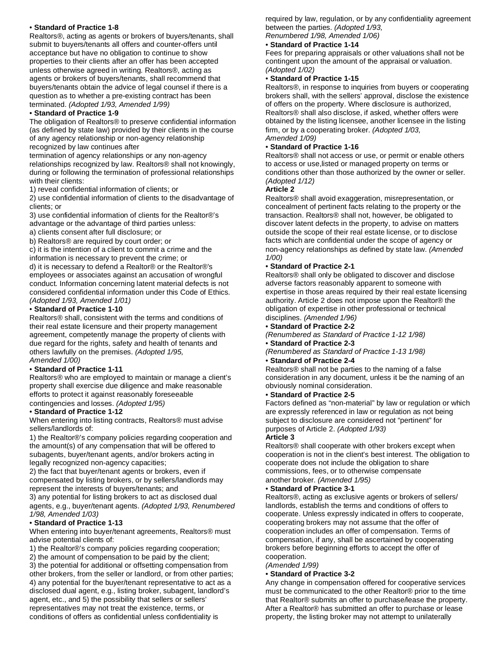#### • **Standard of Practice 1-8**

Realtors®, acting as agents or brokers of buyers/tenants, shall submit to buyers/tenants all offers and counter-offers until acceptance but have no obligation to continue to show properties to their clients after an offer has been accepted unless otherwise agreed in writing. Realtors®, acting as agents or brokers of buyers/tenants, shall recommend that buyers/tenants obtain the advice of legal counsel if there is a question as to whether a pre-existing contract has been terminated. *(Adopted 1/93, Amended 1/99)*

#### • **Standard of Practice 1-9**

The obligation of Realtors® to preserve confidential information (as defined by state law) provided by their clients in the course of any agency relationship or non-agency relationship recognized by law continues after

termination of agency relationships or any non-agency relationships recognized by law. Realtors® shall not knowingly, during or following the termination of professional relationships with their clients:

1) reveal confidential information of clients; or

2) use confidential information of clients to the disadvantage of clients; or

3) use confidential information of clients for the Realtor®'s advantage or the advantage of third parties unless:

a) clients consent after full disclosure; or

b) Realtors® are required by court order; or

c) it is the intention of a client to commit a crime and the information is necessary to prevent the crime; or

d) it is necessary to defend a Realtor® or the Realtor®'s employees or associates against an accusation of wrongful conduct. Information concerning latent material defects is not considered confidential information under this Code of Ethics. *(Adopted 1/93, Amended 1/01)*

#### • **Standard of Practice 1-10**

Realtors® shall, consistent with the terms and conditions of their real estate licensure and their property management agreement, competently manage the property of clients with due regard for the rights, safety and health of tenants and others lawfully on the premises. *(Adopted 1/95, Amended 1/00)*

#### • **Standard of Practice 1-11**

Realtors® who are employed to maintain or manage a client's property shall exercise due diligence and make reasonable efforts to protect it against reasonably foreseeable contingencies and losses. *(Adopted 1/95)*

#### • **Standard of Practice 1-12**

When entering into listing contracts, Realtors® must advise sellers/landlords of:

1) the Realtor®'s company policies regarding cooperation and the amount(s) of any compensation that will be offered to subagents, buyer/tenant agents, and/or brokers acting in legally recognized non-agency capacities;

2) the fact that buyer/tenant agents or brokers, even if compensated by listing brokers, or by sellers/landlords may represent the interests of buyers/tenants; and

3) any potential for listing brokers to act as disclosed dual agents, e.g., buyer/tenant agents. *(Adopted 1/93, Renumbered 1/98, Amended 1/03)*

#### • **Standard of Practice 1-13**

When entering into buyer/tenant agreements, Realtors® must advise potential clients of:

1) the Realtor®'s company policies regarding cooperation;

2) the amount of compensation to be paid by the client;

3) the potential for additional or offsetting compensation from other brokers, from the seller or landlord, or from other parties; 4) any potential for the buyer/tenant representative to act as a disclosed dual agent, e.g., listing broker, subagent, landlord's agent, etc., and 5) the possibility that sellers or sellers' representatives may not treat the existence, terms, or conditions of offers as confidential unless confidentiality is

required by law, regulation, or by any confidentiality agreement between the parties. *(Adopted 1/93, Renumbered 1/98, Amended 1/06)*

#### • **Standard of Practice 1-14**

Fees for preparing appraisals or other valuations shall not be contingent upon the amount of the appraisal or valuation. *(Adopted 1/02)*

#### • **Standard of Practice 1-15**

Realtors®, in response to inquiries from buyers or cooperating brokers shall, with the sellers' approval, disclose the existence of offers on the property. Where disclosure is authorized, Realtors® shall also disclose, if asked, whether offers were obtained by the listing licensee, another licensee in the listing firm, or by a cooperating broker. *(Adopted 1/03, Amended 1/09)*

#### • **Standard of Practice 1-16**

Realtors® shall not access or use, or permit or enable others to access or use,listed or managed property on terms or conditions other than those authorized by the owner or seller. *(Adopted 1/12)*

#### **Article 2**

Realtors® shall avoid exaggeration, misrepresentation, or concealment of pertinent facts relating to the property or the transaction. Realtors® shall not, however, be obligated to discover latent defects in the property, to advise on matters outside the scope of their real estate license, or to disclose facts which are confidential under the scope of agency or non-agency relationships as defined by state law. *(Amended 1/00)*

#### • **Standard of Practice 2-1**

Realtors® shall only be obligated to discover and disclose adverse factors reasonably apparent to someone with expertise in those areas required by their real estate licensing authority. Article 2 does not impose upon the Realtor® the obligation of expertise in other professional or technical disciplines. *(Amended 1/96)*

#### • **Standard of Practice 2-2**

- *(Renumbered as Standard of Practice 1-12 1/98)*
- **Standard of Practice 2-3**
- *(Renumbered as Standard of Practice 1-13 1/98)*

#### • **Standard of Practice 2-4**

Realtors® shall not be parties to the naming of a false consideration in any document, unless it be the naming of an obviously nominal consideration.

#### • **Standard of Practice 2-5**

Factors defined as "non-material" by law or regulation or which are expressly referenced in law or regulation as not being subject to disclosure are considered not "pertinent" for purposes of Article 2. *(Adopted 1/93)*

#### **Article 3**

Realtors® shall cooperate with other brokers except when cooperation is not in the client's best interest. The obligation to cooperate does not include the obligation to share commissions, fees, or to otherwise compensate another broker. *(Amended 1/95)*

#### • **Standard of Practice 3-1**

Realtors®, acting as exclusive agents or brokers of sellers/ landlords, establish the terms and conditions of offers to cooperate. Unless expressly indicated in offers to cooperate, cooperating brokers may not assume that the offer of cooperation includes an offer of compensation. Terms of compensation, if any, shall be ascertained by cooperating brokers before beginning efforts to accept the offer of cooperation.

#### *(Amended 1/99)*

#### • **Standard of Practice 3-2**

Any change in compensation offered for cooperative services must be communicated to the other Realtor® prior to the time that Realtor® submits an offer to purchase/lease the property. After a Realtor® has submitted an offer to purchase or lease property, the listing broker may not attempt to unilaterally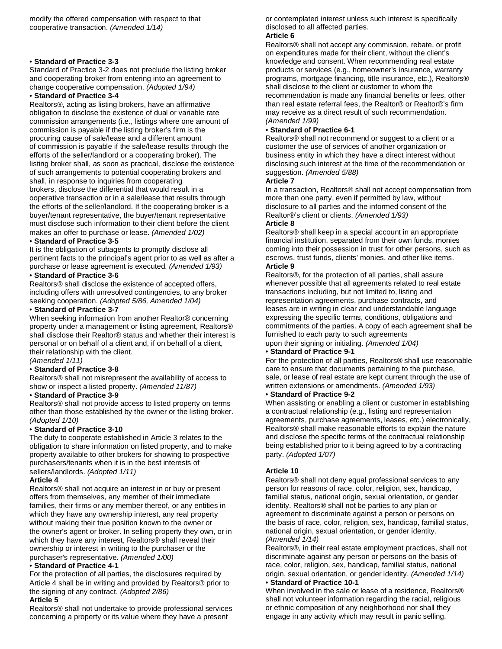#### • **Standard of Practice 3-3**

Standard of Practice 3-2 does not preclude the listing broker and cooperating broker from entering into an agreement to change cooperative compensation. *(Adopted 1/94)*

#### • **Standard of Practice 3-4**

Realtors®, acting as listing brokers, have an affirmative obligation to disclose the existence of dual or variable rate commission arrangements (i.e., listings where one amount of commission is payable if the listing broker's firm is the procuring cause of sale/lease and a different amount of commission is payable if the sale/lease results through the efforts of the seller/landlord or a cooperating broker). The listing broker shall, as soon as practical, disclose the existence of such arrangements to potential cooperating brokers and shall, in response to inquiries from cooperating brokers, disclose the differential that would result in a ooperative transaction or in a sale/lease that results through the efforts of the seller/landlord. If the cooperating broker is a buyer/tenant representative, the buyer/tenant representative must disclose such information to their client before the client makes an offer to purchase or lease. *(Amended 1/02)*

#### • **Standard of Practice 3-5**

It is the obligation of subagents to promptly disclose all pertinent facts to the principal's agent prior to as well as after a purchase or lease agreement is executed. *(Amended 1/93)*

#### • **Standard of Practice 3-6**

Realtors® shall disclose the existence of accepted offers, including offers with unresolved contingencies, to any broker seeking cooperation. *(Adopted 5/86, Amended 1/04)*

#### • **Standard of Practice 3-7**

When seeking information from another Realtor® concerning property under a management or listing agreement, Realtors® shall disclose their Realtor® status and whether their interest is personal or on behalf of a client and, if on behalf of a client, their relationship with the client.

*(Amended 1/11)*

#### • **Standard of Practice 3-8**

Realtors® shall not misrepresent the availability of access to show or inspect a listed property. *(Amended 11/87)*

#### • **Standard of Practice 3-9**

Realtors® shall not provide access to listed property on terms other than those established by the owner or the listing broker. *(Adopted 1/10)*

#### • **Standard of Practice 3-10**

The duty to cooperate established in Article 3 relates to the obligation to share information on listed property, and to make property available to other brokers for showing to prospective purchasers/tenants when it is in the best interests of sellers/landlords. *(Adopted 1/11)*

#### **Article 4**

Realtors® shall not acquire an interest in or buy or present offers from themselves, any member of their immediate families, their firms or any member thereof, or any entities in which they have any ownership interest, any real property without making their true position known to the owner or the owner's agent or broker. In selling property they own, or in which they have any interest, Realtors<sup>®</sup> shall reveal their ownership or interest in writing to the purchaser or the purchaser's representative. *(Amended 1/00)*

#### • **Standard of Practice 4-1**

For the protection of all parties, the disclosures required by Article 4 shall be in writing and provided by Realtors® prior to the signing of any contract. *(Adopted 2/86)*

#### **Article 5**

Realtors® shall not undertake to provide professional services concerning a property or its value where they have a present

or contemplated interest unless such interest is specifically disclosed to all affected parties.

#### **Article 6**

Realtors® shall not accept any commission, rebate, or profit on expenditures made for their client, without the client's knowledge and consent. When recommending real estate products or services (e.g., homeowner's insurance, warranty programs, mortgage financing, title insurance, etc.), Realtors® shall disclose to the client or customer to whom the recommendation is made any financial benefits or fees, other than real estate referral fees, the Realtor® or Realtor®'s firm may receive as a direct result of such recommendation. *(Amended 1/99)*

#### • **Standard of Practice 6-1**

Realtors® shall not recommend or suggest to a client or a customer the use of services of another organization or business entity in which they have a direct interest without disclosing such interest at the time of the recommendation or suggestion. *(Amended 5/88)*

#### **Article 7**

In a transaction, Realtors® shall not accept compensation from more than one party, even if permitted by law, without disclosure to all parties and the informed consent of the Realtor®'s client or clients. *(Amended 1/93)* **Article 8**

Realtors® shall keep in a special account in an appropriate financial institution, separated from their own funds, monies coming into their possession in trust for other persons, such as escrows, trust funds, clients' monies, and other like items. **Article 9**

Realtors®, for the protection of all parties, shall assure whenever possible that all agreements related to real estate transactions including, but not limited to, listing and representation agreements, purchase contracts, and leases are in writing in clear and understandable language expressing the specific terms, conditions, obligations and commitments of the parties. A copy of each agreement shall be furnished to each party to such agreements

upon their signing or initialing. *(Amended 1/04)* • **Standard of Practice 9-1**

For the protection of all parties, Realtors® shall use reasonable care to ensure that documents pertaining to the purchase, sale, or lease of real estate are kept current through the use of written extensions or amendments. *(Amended 1/93)*

#### • **Standard of Practice 9-2**

When assisting or enabling a client or customer in establishing a contractual relationship (e.g., listing and representation agreements, purchase agreements, leases, etc.) electronically, Realtors® shall make reasonable efforts to explain the nature and disclose the specific terms of the contractual relationship being established prior to it being agreed to by a contracting party. *(Adopted 1/07)*

#### **Article 10**

Realtors® shall not deny equal professional services to any person for reasons of race, color, religion, sex, handicap, familial status, national origin, sexual orientation, or gender identity. Realtors® shall not be parties to any plan or agreement to discriminate against a person or persons on the basis of race, color, religion, sex, handicap, familial status, national origin, sexual orientation, or gender identity. *(Amended 1/14)*

Realtors®, in their real estate employment practices, shall not discriminate against any person or persons on the basis of race, color, religion, sex, handicap, familial status, national origin, sexual orientation, or gender identity. *(Amended 1/14)* • **Standard of Practice 10-1**

When involved in the sale or lease of a residence, Realtors® shall not volunteer information regarding the racial, religious or ethnic composition of any neighborhood nor shall they engage in any activity which may result in panic selling,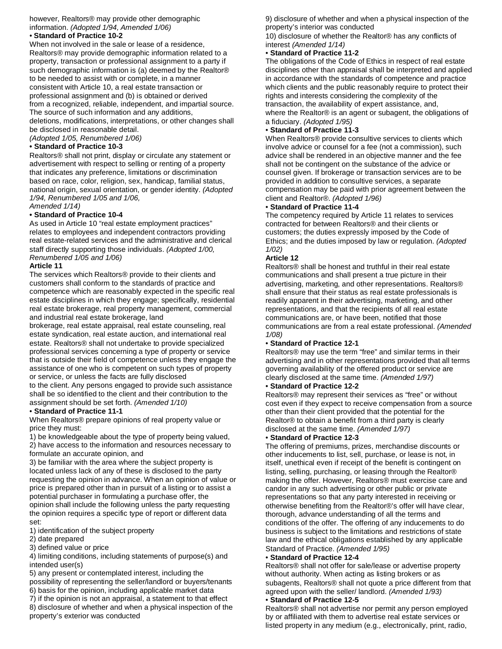#### however, Realtors® may provide other demographic information. *(Adopted 1/94, Amended 1/06) •* **Standard of Practice 10-2**

When not involved in the sale or lease of a residence, Realtors® may provide demographic information related to a property, transaction or professional assignment to a party if such demographic information is (a) deemed by the Realtor® to be needed to assist with or complete, in a manner consistent with Article 10, a real estate transaction or professional assignment and (b) is obtained or derived from a recognized, reliable, independent, and impartial source. The source of such information and any additions, deletions, modifications, interpretations, or other changes shall

be disclosed in reasonable detail.

*(Adopted 1/05, Renumbered 1/06)*

#### **• Standard of Practice 10-3**

Realtors® shall not print, display or circulate any statement or advertisement with respect to selling or renting of a property that indicates any preference, limitations or discrimination based on race, color, religion, sex, handicap, familial status, national origin, sexual orientation, or gender identity. *(Adopted 1/94, Renumbered 1/05 and 1/06,*

*Amended 1/14)*

#### **• Standard of Practice 10-4**

As used in Article 10 "real estate employment practices" relates to employees and independent contractors providing real estate-related services and the administrative and clerical staff directly supporting those individuals. *(Adopted 1/00, Renumbered 1/05 and 1/06)*

#### **Article 11**

The services which Realtors® provide to their clients and customers shall conform to the standards of practice and competence which are reasonably expected in the specific real estate disciplines in which they engage; specifically, residential real estate brokerage, real property management, commercial and industrial real estate brokerage, land

brokerage, real estate appraisal, real estate counseling, real estate syndication, real estate auction, and international real estate. Realtors® shall not undertake to provide specialized professional services concerning a type of property or service that is outside their field of competence unless they engage the assistance of one who is competent on such types of property or service, or unless the facts are fully disclosed

to the client. Any persons engaged to provide such assistance shall be so identified to the client and their contribution to the assignment should be set forth. *(Amended 1/10)*

#### • **Standard of Practice 11-1**

When Realtors® prepare opinions of real property value or price they must:

1) be knowledgeable about the type of property being valued, 2) have access to the information and resources necessary to formulate an accurate opinion, and

3) be familiar with the area where the subject property is located unless lack of any of these is disclosed to the party requesting the opinion in advance. When an opinion of value or price is prepared other than in pursuit of a listing or to assist a potential purchaser in formulating a purchase offer, the opinion shall include the following unless the party requesting the opinion requires a specific type of report or different data set:

1) identification of the subject property

2) date prepared

3) defined value or price

4) limiting conditions, including statements of purpose(s) and intended user(s)

5) any present or contemplated interest, including the possibility of representing the seller/landlord or buyers/tenants 6) basis for the opinion, including applicable market data

7) if the opinion is not an appraisal, a statement to that effect 8) disclosure of whether and when a physical inspection of the property's exterior was conducted

9) disclosure of whether and when a physical inspection of the property's interior was conducted

10) disclosure of whether the Realtor® has any conflicts of interest *(Amended 1/14)*

#### • **Standard of Practice 11-2**

The obligations of the Code of Ethics in respect of real estate disciplines other than appraisal shall be interpreted and applied in accordance with the standards of competence and practice which clients and the public reasonably require to protect their rights and interests considering the complexity of the transaction, the availability of expert assistance, and, where the Realtor® is an agent or subagent, the obligations of a fiduciary. *(Adopted 1/95)*

#### • **Standard of Practice 11-3**

When Realtors<sup>®</sup> provide consultive services to clients which involve advice or counsel for a fee (not a commission), such advice shall be rendered in an objective manner and the fee shall not be contingent on the substance of the advice or counsel given. If brokerage or transaction services are to be provided in addition to consultive services, a separate compensation may be paid with prior agreement between the client and Realtor®. *(Adopted 1/96)*

#### • **Standard of Practice 11-4**

The competency required by Article 11 relates to services contracted for between Realtors® and their clients or customers; the duties expressly imposed by the Code of Ethics; and the duties imposed by law or regulation. *(Adopted 1/02)*

#### **Article 12**

Realtors® shall be honest and truthful in their real estate communications and shall present a true picture in their advertising, marketing, and other representations. Realtors® shall ensure that their status as real estate professionals is readily apparent in their advertising, marketing, and other representations, and that the recipients of all real estate communications are, or have been, notified that those communications are from a real estate professional. *(Amended 1/08)*

#### • **Standard of Practice 12-1**

Realtors® may use the term "free" and similar terms in their advertising and in other representations provided that all terms governing availability of the offered product or service are clearly disclosed at the same time. *(Amended 1/97)*

#### • **Standard of Practice 12-2**

Realtors® may represent their services as "free" or without cost even if they expect to receive compensation from a source other than their client provided that the potential for the Realtor® to obtain a benefit from a third party is clearly disclosed at the same time. *(Amended 1/97)*

#### • **Standard of Practice 12-3**

The offering of premiums, prizes, merchandise discounts or other inducements to list, sell, purchase, or lease is not, in itself, unethical even if receipt of the benefit is contingent on listing, selling, purchasing, or leasing through the Realtor® making the offer. However, Realtors® must exercise care and candor in any such advertising or other public or private representations so that any party interested in receiving or otherwise benefiting from the Realtor®'s offer will have clear, thorough, advance understanding of all the terms and conditions of the offer. The offering of any inducements to do business is subject to the limitations and restrictions of state law and the ethical obligations established by any applicable Standard of Practice. *(Amended 1/95)*

#### • **Standard of Practice 12-4**

Realtors® shall not offer for sale/lease or advertise property without authority. When acting as listing brokers or as subagents, Realtors® shall not quote a price different from that agreed upon with the seller/ landlord. *(Amended 1/93)*

#### • **Standard of Practice 12-5**

Realtors® shall not advertise nor permit any person employed by or affiliated with them to advertise real estate services or listed property in any medium (e.g., electronically, print, radio,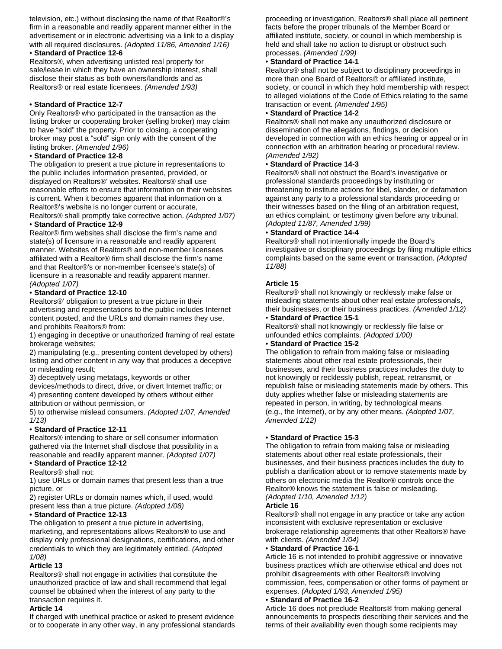television, etc.) without disclosing the name of that Realtor®'s firm in a reasonable and readily apparent manner either in the advertisement or in electronic advertising via a link to a display with all required disclosures. *(Adopted 11/86, Amended 1/16)*

### • **Standard of Practice 12-6**

Realtors®, when advertising unlisted real property for sale/lease in which they have an ownership interest, shall disclose their status as both owners/landlords and as Realtors® or real estate licensees. *(Amended 1/93)*

#### • **Standard of Practice 12-7**

Only Realtors® who participated in the transaction as the listing broker or cooperating broker (selling broker) may claim to have "sold" the property. Prior to closing, a cooperating broker may post a "sold" sign only with the consent of the listing broker. *(Amended 1/96)*

#### • **Standard of Practice 12-8**

The obligation to present a true picture in representations to the public includes information presented, provided, or displayed on Realtors®' websites. Realtors® shall use reasonable efforts to ensure that information on their websites is current. When it becomes apparent that information on a Realtor®'s website is no longer current or accurate, Realtors® shall promptly take corrective action. *(Adopted 1/07)*

# • **Standard of Practice 12-9**

Realtor® firm websites shall disclose the firm's name and state(s) of licensure in a reasonable and readily apparent manner. Websites of Realtors® and non-member licensees affiliated with a Realtor® firm shall disclose the firm's name and that Realtor®'s or non-member licensee's state(s) of licensure in a reasonable and readily apparent manner. *(Adopted 1/07)*

#### • **Standard of Practice 12-10**

Realtors®' obligation to present a true picture in their advertising and representations to the public includes Internet content posted, and the URLs and domain names they use, and prohibits Realtors® from:

1) engaging in deceptive or unauthorized framing of real estate brokerage websites;

2) manipulating (e.g., presenting content developed by others) listing and other content in any way that produces a deceptive or misleading result;

3) deceptively using metatags, keywords or other

devices/methods to direct, drive, or divert Internet traffic; or 4) presenting content developed by others without either attribution or without permission, or

5) to otherwise mislead consumers. *(Adopted 1/07, Amended 1/13)*

#### • **Standard of Practice 12-11**

Realtors® intending to share or sell consumer information gathered via the Internet shall disclose that possibility in a reasonable and readily apparent manner. *(Adopted 1/07)*

# **• Standard of Practice 12-12**

Realtors® shall not:

1) use URLs or domain names that present less than a true picture, or

2) register URLs or domain names which, if used, would present less than a true picture. *(Adopted 1/08)*

#### **• Standard of Practice 12-13**

The obligation to present a true picture in advertising, marketing, and representations allows Realtors® to use and display only professional designations, certifications, and other credentials to which they are legitimately entitled. *(Adopted 1/08)*

#### **Article 13**

Realtors® shall not engage in activities that constitute the unauthorized practice of law and shall recommend that legal counsel be obtained when the interest of any party to the transaction requires it.

#### **Article 14**

If charged with unethical practice or asked to present evidence or to cooperate in any other way, in any professional standards proceeding or investigation, Realtors® shall place all pertinent facts before the proper tribunals of the Member Board or affiliated institute, society, or council in which membership is held and shall take no action to disrupt or obstruct such processes. *(Amended 1/99)*

# • **Standard of Practice 14-1**

Realtors® shall not be subject to disciplinary proceedings in more than one Board of Realtors® or affiliated institute, society, or council in which they hold membership with respect to alleged violations of the Code of Ethics relating to the same transaction or event. *(Amended 1/95)*

#### • **Standard of Practice 14-2**

Realtors® shall not make any unauthorized disclosure or dissemination of the allegations, findings, or decision developed in connection with an ethics hearing or appeal or in connection with an arbitration hearing or procedural review. *(Amended 1/92)*

#### • **Standard of Practice 14-3**

Realtors® shall not obstruct the Board's investigative or professional standards proceedings by instituting or threatening to institute actions for libel, slander, or defamation against any party to a professional standards proceeding or their witnesses based on the filing of an arbitration request, an ethics complaint, or testimony given before any tribunal. *(Adopted 11/87, Amended 1/99)*

#### • **Standard of Practice 14-4**

Realtors® shall not intentionally impede the Board's investigative or disciplinary proceedings by filing multiple ethics complaints based on the same event or transaction. *(Adopted 11/88)*

#### **Article 15**

Realtors® shall not knowingly or recklessly make false or misleading statements about other real estate professionals, their businesses, or their business practices. *(Amended 1/12)*

#### • **Standard of Practice 15-1**

Realtors® shall not knowingly or recklessly file false or unfounded ethics complaints. *(Adopted 1/00)*

#### • **Standard of Practice 15-2**

The obligation to refrain from making false or misleading statements about other real estate professionals, their businesses, and their business practices includes the duty to not knowingly or recklessly publish, repeat, retransmit, or republish false or misleading statements made by others. This duty applies whether false or misleading statements are repeated in person, in writing, by technological means (e.g., the Internet), or by any other means. *(Adopted 1/07, Amended 1/12)*

#### • **Standard of Practice 15-3**

The obligation to refrain from making false or misleading statements about other real estate professionals, their businesses, and their business practices includes the duty to publish a clarification about or to remove statements made by others on electronic media the Realtor® controls once the Realtor® knows the statement is false or misleading. *(Adopted 1/10, Amended 1/12)*

#### **Article 16**

Realtors® shall not engage in any practice or take any action inconsistent with exclusive representation or exclusive brokerage relationship agreements that other Realtors® have with clients. *(Amended 1/04)*

#### • **Standard of Practice 16-1**

Article 16 is not intended to prohibit aggressive or innovative business practices which are otherwise ethical and does not prohibit disagreements with other Realtors® involving commission, fees, compensation or other forms of payment or expenses. *(Adopted 1/93, Amended 1/95)*

#### • **Standard of Practice 16-2**

Article 16 does not preclude Realtors® from making general announcements to prospects describing their services and the terms of their availability even though some recipients may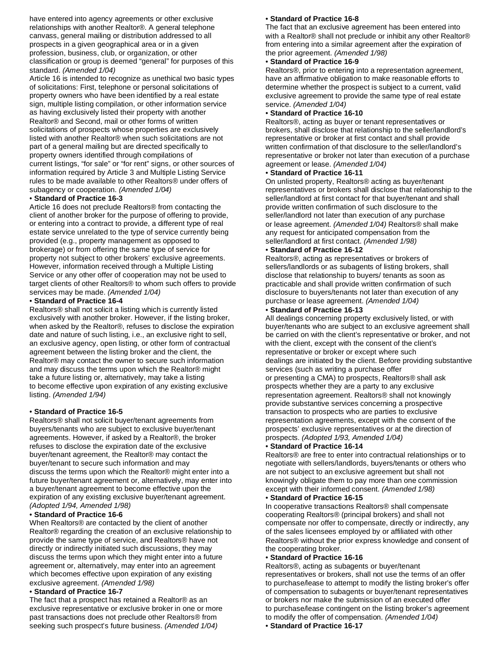have entered into agency agreements or other exclusive relationships with another Realtor®. A general telephone canvass, general mailing or distribution addressed to all prospects in a given geographical area or in a given profession, business, club, or organization, or other classification or group is deemed "general" for purposes of this standard. *(Amended 1/04)*

Article 16 is intended to recognize as unethical two basic types of solicitations: First, telephone or personal solicitations of property owners who have been identified by a real estate sign, multiple listing compilation, or other information service as having exclusively listed their property with another Realtor® and Second, mail or other forms of written solicitations of prospects whose properties are exclusively listed with another Realtor® when such solicitations are not part of a general mailing but are directed specifically to property owners identified through compilations of current listings, "for sale" or "for rent" signs, or other sources of information required by Article 3 and Multiple Listing Service rules to be made available to other Realtors® under offers of subagency or cooperation. *(Amended 1/04)*

#### • **Standard of Practice 16-3**

Article 16 does not preclude Realtors® from contacting the client of another broker for the purpose of offering to provide, or entering into a contract to provide, a different type of real estate service unrelated to the type of service currently being provided (e.g., property management as opposed to brokerage) or from offering the same type of service for property not subject to other brokers' exclusive agreements. However, information received through a Multiple Listing Service or any other offer of cooperation may not be used to target clients of other Realtors® to whom such offers to provide services may be made. *(Amended 1/04)*

#### • **Standard of Practice 16-4**

Realtors® shall not solicit a listing which is currently listed exclusively with another broker. However, if the listing broker, when asked by the Realtor®, refuses to disclose the expiration date and nature of such listing, i.e., an exclusive right to sell, an exclusive agency, open listing, or other form of contractual agreement between the listing broker and the client, the Realtor® may contact the owner to secure such information and may discuss the terms upon which the Realtor® might take a future listing or, alternatively, may take a listing to become effective upon expiration of any existing exclusive listing. *(Amended 1/94)*

#### • **Standard of Practice 16-5**

Realtors® shall not solicit buyer/tenant agreements from buyers/tenants who are subject to exclusive buyer/tenant agreements. However, if asked by a Realtor®, the broker refuses to disclose the expiration date of the exclusive buyer/tenant agreement, the Realtor® may contact the buyer/tenant to secure such information and may discuss the terms upon which the Realtor® might enter into a future buyer/tenant agreement or, alternatively, may enter into a buyer/tenant agreement to become effective upon the expiration of any existing exclusive buyer/tenant agreement. *(Adopted 1/94, Amended 1/98)*

#### • **Standard of Practice 16-6**

When Realtors® are contacted by the client of another Realtor® regarding the creation of an exclusive relationship to provide the same type of service, and Realtors® have not directly or indirectly initiated such discussions, they may discuss the terms upon which they might enter into a future agreement or, alternatively, may enter into an agreement which becomes effective upon expiration of any existing exclusive agreement. *(Amended 1/98)*

#### • **Standard of Practice 16-7**

The fact that a prospect has retained a Realtor® as an exclusive representative or exclusive broker in one or more past transactions does not preclude other Realtors® from seeking such prospect's future business. *(Amended 1/04)*

#### • **Standard of Practice 16-8**

The fact that an exclusive agreement has been entered into with a Realtor® shall not preclude or inhibit any other Realtor® from entering into a similar agreement after the expiration of the prior agreement. *(Amended 1/98)*

#### • **Standard of Practice 16-9**

Realtors®, prior to entering into a representation agreement, have an affirmative obligation to make reasonable efforts to determine whether the prospect is subject to a current, valid exclusive agreement to provide the same type of real estate service. *(Amended 1/04)*

#### • **Standard of Practice 16-10**

Realtors®, acting as buyer or tenant representatives or brokers, shall disclose that relationship to the seller/landlord's representative or broker at first contact and shall provide written confirmation of that disclosure to the seller/landlord's representative or broker not later than execution of a purchase agreement or lease. *(Amended 1/04)*

#### • **Standard of Practice 16-11**

On unlisted property, Realtors® acting as buyer/tenant representatives or brokers shall disclose that relationship to the seller/landlord at first contact for that buyer/tenant and shall provide written confirmation of such disclosure to the seller/landlord not later than execution of any purchase or lease agreement. *(Amended 1/04)* Realtors® shall make any request for anticipated compensation from the seller/landlord at first contact. *(Amended 1/98)*

#### • **Standard of Practice 16-12**

Realtors®, acting as representatives or brokers of sellers/landlords or as subagents of listing brokers, shall disclose that relationship to buyers/ tenants as soon as practicable and shall provide written confirmation of such disclosure to buyers/tenants not later than execution of any purchase or lease agreement. *(Amended 1/04)*

#### • **Standard of Practice 16-13**

All dealings concerning property exclusively listed, or with buyer/tenants who are subject to an exclusive agreement shall be carried on with the client's representative or broker, and not with the client, except with the consent of the client's representative or broker or except where such dealings are initiated by the client. Before providing substantive services (such as writing a purchase offer or presenting a CMA) to prospects, Realtors® shall ask prospects whether they are a party to any exclusive representation agreement. Realtors® shall not knowingly provide substantive services concerning a prospective transaction to prospects who are parties to exclusive representation agreements, except with the consent of the prospects' exclusive representatives or at the direction of prospects. *(Adopted 1/93, Amended 1/04)*

#### • **Standard of Practice 16-14**

Realtors® are free to enter into contractual relationships or to negotiate with sellers/landlords, buyers/tenants or others who are not subject to an exclusive agreement but shall not knowingly obligate them to pay more than one commission except with their informed consent. *(Amended 1/98)*

#### • **Standard of Practice 16-15**

In cooperative transactions Realtors® shall compensate cooperating Realtors® (principal brokers) and shall not compensate nor offer to compensate, directly or indirectly, any of the sales licensees employed by or affiliated with other Realtors® without the prior express knowledge and consent of the cooperating broker.

#### • **Standard of Practice 16-16**

Realtors®, acting as subagents or buyer/tenant representatives or brokers, shall not use the terms of an offer to purchase/lease to attempt to modify the listing broker's offer of compensation to subagents or buyer/tenant representatives or brokers nor make the submission of an executed offer to purchase/lease contingent on the listing broker's agreement to modify the offer of compensation. *(Amended 1/04)*

• **Standard of Practice 16-17**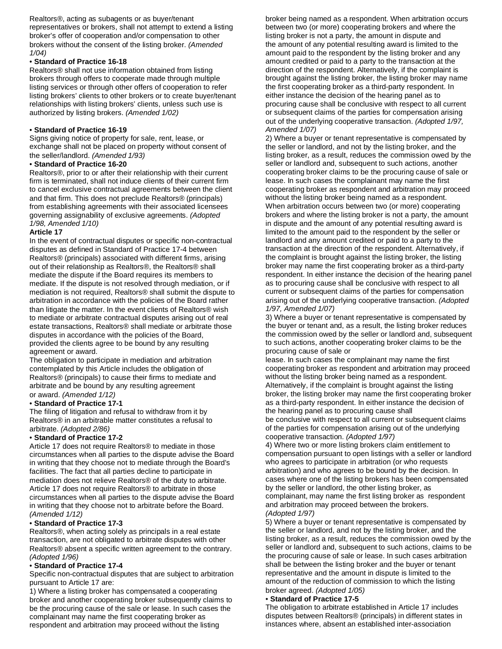Realtors®, acting as subagents or as buyer/tenant representatives or brokers, shall not attempt to extend a listing broker's offer of cooperation and/or compensation to other brokers without the consent of the listing broker. *(Amended 1/04)*

#### • **Standard of Practice 16-18**

Realtors® shall not use information obtained from listing brokers through offers to cooperate made through multiple listing services or through other offers of cooperation to refer listing brokers' clients to other brokers or to create buyer/tenant relationships with listing brokers' clients, unless such use is authorized by listing brokers. *(Amended 1/02)*

#### • **Standard of Practice 16-19**

Signs giving notice of property for sale, rent, lease, or exchange shall not be placed on property without consent of the seller/landlord. *(Amended 1/93)*

#### • **Standard of Practice 16-20**

Realtors®, prior to or after their relationship with their current firm is terminated, shall not induce clients of their current firm to cancel exclusive contractual agreements between the client and that firm. This does not preclude Realtors® (principals) from establishing agreements with their associated licensees governing assignability of exclusive agreements. *(Adopted 1/98, Amended 1/10)*

#### **Article 17**

In the event of contractual disputes or specific non-contractual disputes as defined in Standard of Practice 17-4 between Realtors® (principals) associated with different firms, arising out of their relationship as Realtors®, the Realtors® shall mediate the dispute if the Board requires its members to mediate. If the dispute is not resolved through mediation, or if mediation is not required, Realtors® shall submit the dispute to arbitration in accordance with the policies of the Board rather than litigate the matter. In the event clients of Realtors® wish to mediate or arbitrate contractual disputes arising out of real estate transactions, Realtors® shall mediate or arbitrate those disputes in accordance with the policies of the Board, provided the clients agree to be bound by any resulting agreement or award.

The obligation to participate in mediation and arbitration contemplated by this Article includes the obligation of Realtors® (principals) to cause their firms to mediate and arbitrate and be bound by any resulting agreement or award. *(Amended 1/12)*

#### • **Standard of Practice 17-1**

The filing of litigation and refusal to withdraw from it by Realtors® in an arbitrable matter constitutes a refusal to arbitrate. *(Adopted 2/86)*

#### • **Standard of Practice 17-2**

Article 17 does not require Realtors® to mediate in those circumstances when all parties to the dispute advise the Board in writing that they choose not to mediate through the Board's facilities. The fact that all parties decline to participate in mediation does not relieve Realtors® of the duty to arbitrate. Article 17 does not require Realtors® to arbitrate in those circumstances when all parties to the dispute advise the Board in writing that they choose not to arbitrate before the Board. *(Amended 1/12)*

#### • **Standard of Practice 17-3**

Realtors®, when acting solely as principals in a real estate transaction, are not obligated to arbitrate disputes with other Realtors® absent a specific written agreement to the contrary. *(Adopted 1/96)*

#### • **Standard of Practice 17-4**

Specific non-contractual disputes that are subject to arbitration pursuant to Article 17 are:

1) Where a listing broker has compensated a cooperating broker and another cooperating broker subsequently claims to be the procuring cause of the sale or lease. In such cases the complainant may name the first cooperating broker as respondent and arbitration may proceed without the listing

broker being named as a respondent. When arbitration occurs between two (or more) cooperating brokers and where the listing broker is not a party, the amount in dispute and the amount of any potential resulting award is limited to the amount paid to the respondent by the listing broker and any amount credited or paid to a party to the transaction at the direction of the respondent. Alternatively, if the complaint is brought against the listing broker, the listing broker may name the first cooperating broker as a third-party respondent. In either instance the decision of the hearing panel as to procuring cause shall be conclusive with respect to all current or subsequent claims of the parties for compensation arising out of the underlying cooperative transaction. *(Adopted 1/97, Amended 1/07)*

2) Where a buyer or tenant representative is compensated by the seller or landlord, and not by the listing broker, and the listing broker, as a result, reduces the commission owed by the seller or landlord and, subsequent to such actions, another cooperating broker claims to be the procuring cause of sale or lease. In such cases the complainant may name the first cooperating broker as respondent and arbitration may proceed without the listing broker being named as a respondent. When arbitration occurs between two (or more) cooperating brokers and where the listing broker is not a party, the amount in dispute and the amount of any potential resulting award is limited to the amount paid to the respondent by the seller or landlord and any amount credited or paid to a party to the transaction at the direction of the respondent. Alternatively, if the complaint is brought against the listing broker, the listing broker may name the first cooperating broker as a third-party respondent. In either instance the decision of the hearing panel as to procuring cause shall be conclusive with respect to all current or subsequent claims of the parties for compensation arising out of the underlying cooperative transaction. *(Adopted 1/97, Amended 1/07)*

3) Where a buyer or tenant representative is compensated by the buyer or tenant and, as a result, the listing broker reduces the commission owed by the seller or landlord and, subsequent to such actions, another cooperating broker claims to be the procuring cause of sale or

lease. In such cases the complainant may name the first cooperating broker as respondent and arbitration may proceed without the listing broker being named as a respondent. Alternatively, if the complaint is brought against the listing broker, the listing broker may name the first cooperating broker as a third-party respondent. In either instance the decision of the hearing panel as to procuring cause shall

be conclusive with respect to all current or subsequent claims of the parties for compensation arising out of the underlying cooperative transaction. *(Adopted 1/97)*

4) Where two or more listing brokers claim entitlement to compensation pursuant to open listings with a seller or landlord who agrees to participate in arbitration (or who requests arbitration) and who agrees to be bound by the decision. In cases where one of the listing brokers has been compensated by the seller or landlord, the other listing broker, as complainant, may name the first listing broker as respondent and arbitration may proceed between the brokers. *(Adopted 1/97)*

5) Where a buyer or tenant representative is compensated by the seller or landlord, and not by the listing broker, and the listing broker, as a result, reduces the commission owed by the seller or landlord and, subsequent to such actions, claims to be the procuring cause of sale or lease. In such cases arbitration shall be between the listing broker and the buyer or tenant representative and the amount in dispute is limited to the amount of the reduction of commission to which the listing broker agreed. *(Adopted 1/05)*

#### • **Standard of Practice 17-5**

The obligation to arbitrate established in Article 17 includes disputes between Realtors® (principals) in different states in instances where, absent an established inter-association